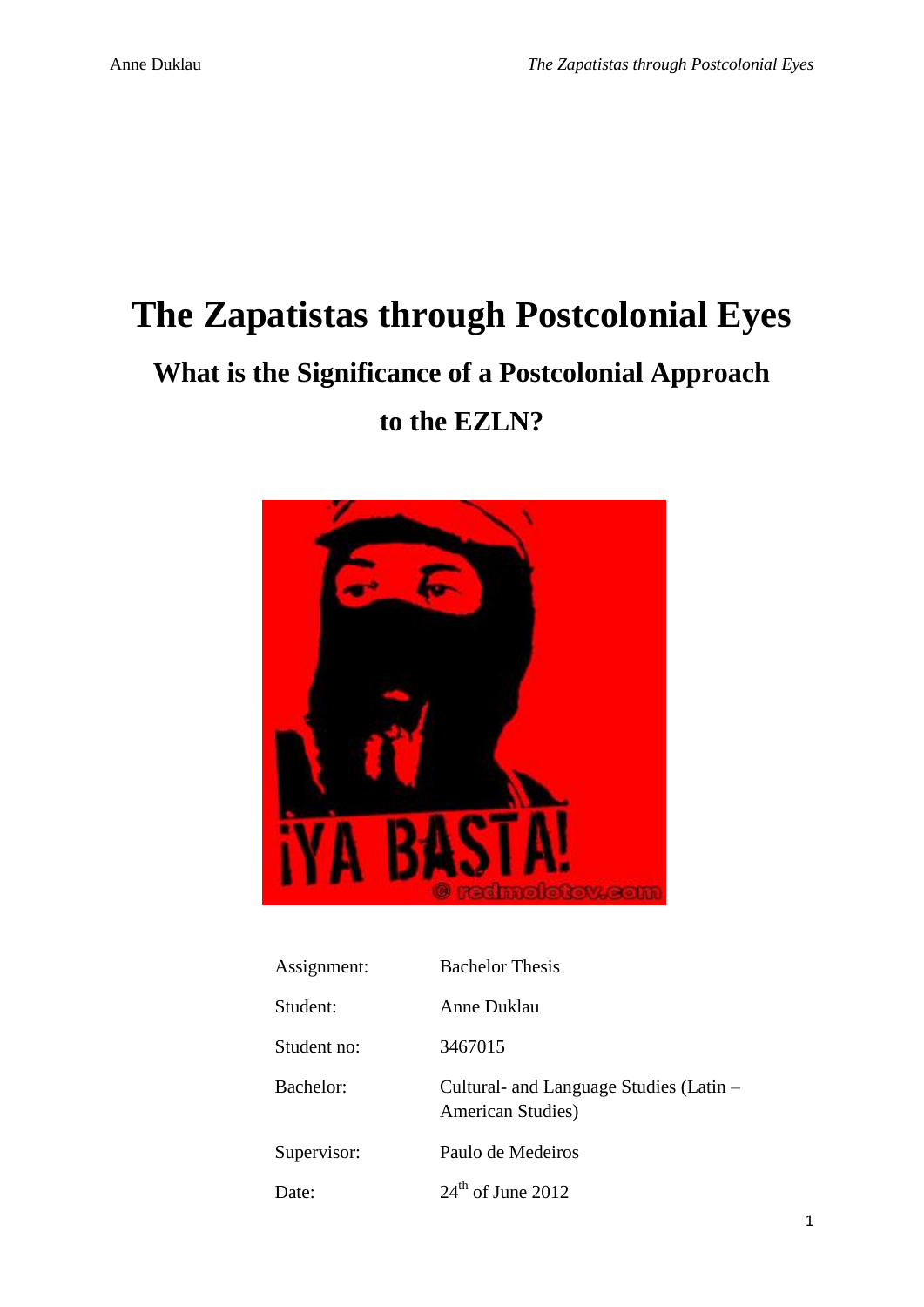# **The Zapatistas through Postcolonial Eyes What is the Significance of a Postcolonial Approach**

### **to the EZLN?**



| Assignment: | <b>Bachelor Thesis</b>                                       |
|-------------|--------------------------------------------------------------|
| Student:    | Anne Duklau                                                  |
| Student no: | 3467015                                                      |
| Bachelor:   | Cultural- and Language Studies (Latin –<br>American Studies) |
| Supervisor: | Paulo de Medeiros                                            |
| Date:       | $24th$ of June 2012                                          |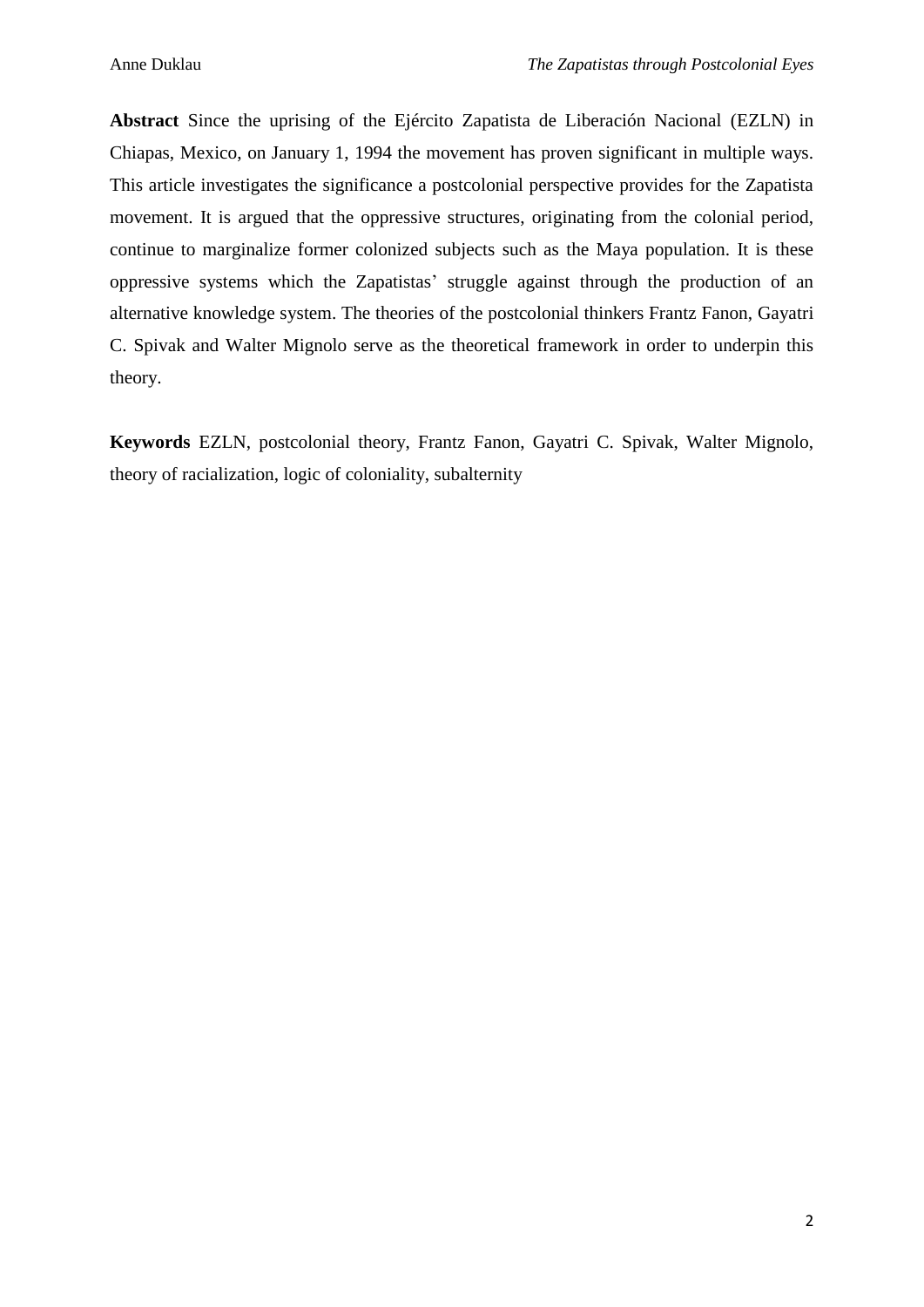**Abstract** Since the uprising of the Ejército Zapatista de Liberación Nacional (EZLN) in Chiapas, Mexico, on January 1, 1994 the movement has proven significant in multiple ways. This article investigates the significance a postcolonial perspective provides for the Zapatista movement. It is argued that the oppressive structures, originating from the colonial period, continue to marginalize former colonized subjects such as the Maya population. It is these oppressive systems which the Zapatistas' struggle against through the production of an alternative knowledge system. The theories of the postcolonial thinkers Frantz Fanon, Gayatri C. Spivak and Walter Mignolo serve as the theoretical framework in order to underpin this theory.

**Keywords** EZLN, postcolonial theory, Frantz Fanon, Gayatri C. Spivak, Walter Mignolo, theory of racialization, logic of coloniality, subalternity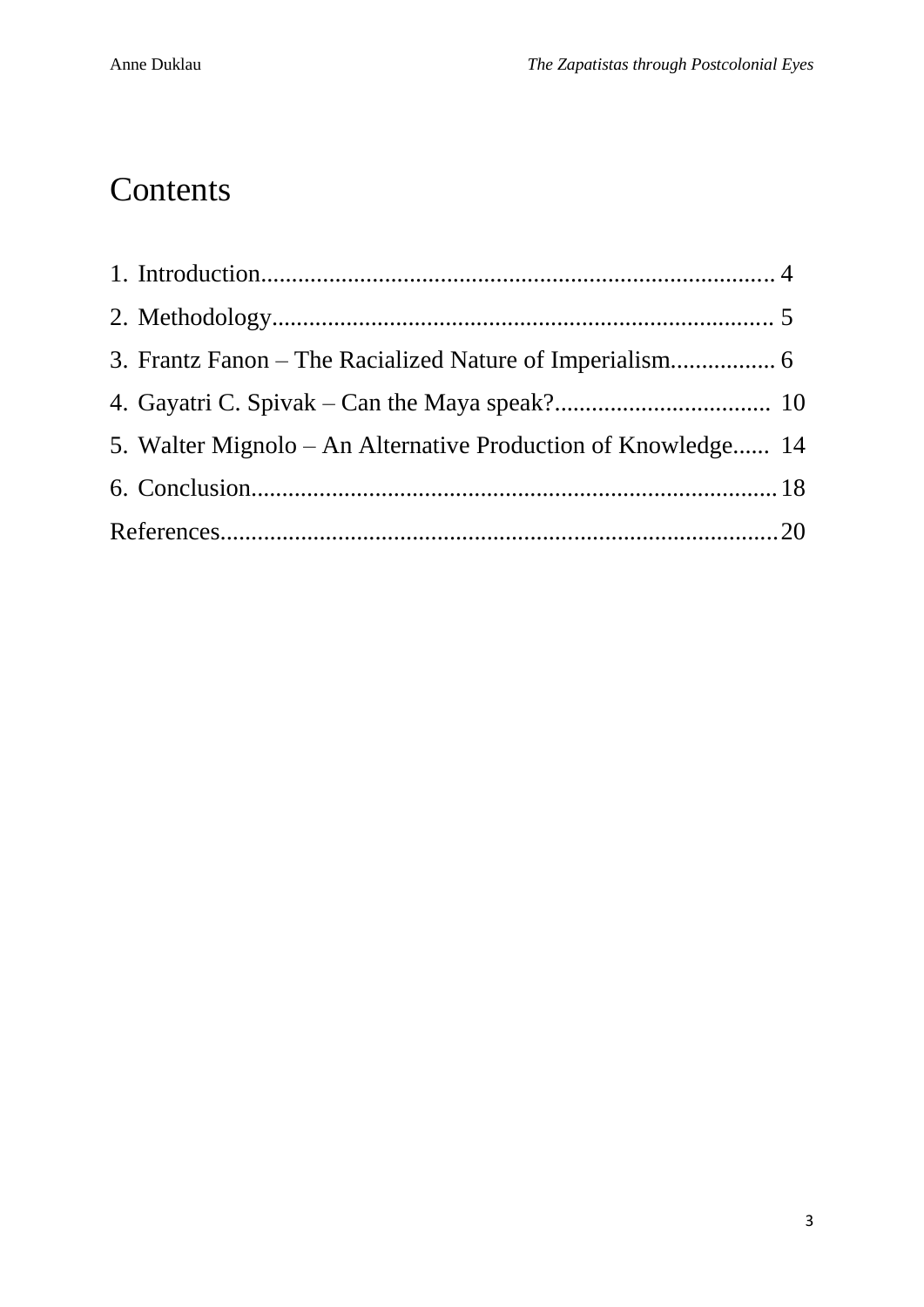## **Contents**

| 5. Walter Mignolo – An Alternative Production of Knowledge 14 |  |
|---------------------------------------------------------------|--|
|                                                               |  |
|                                                               |  |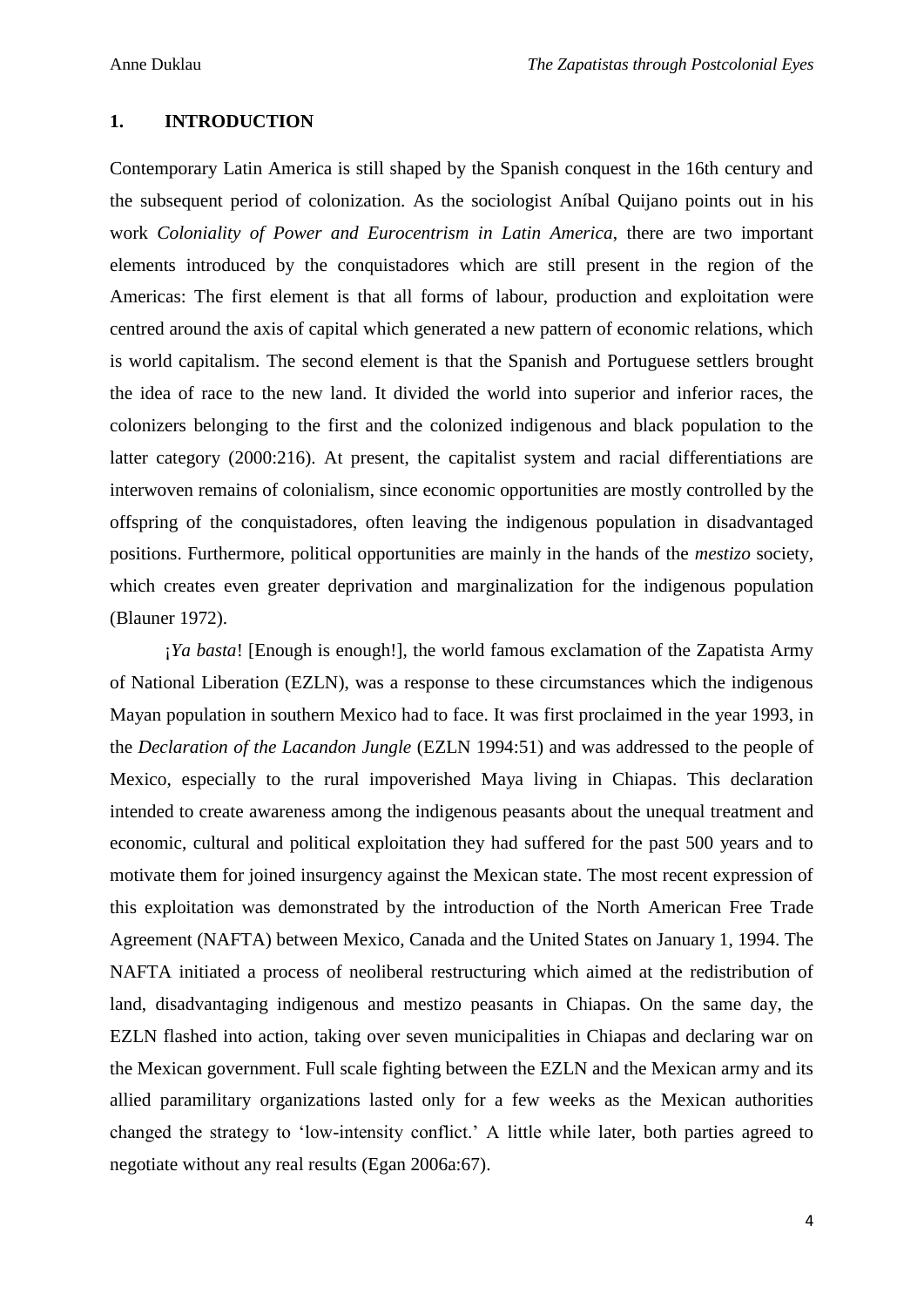#### **1. INTRODUCTION**

Contemporary Latin America is still shaped by the Spanish conquest in the 16th century and the subsequent period of colonization. As the sociologist Aníbal Quijano points out in his work *Coloniality of Power and Eurocentrism in Latin America*, there are two important elements introduced by the conquistadores which are still present in the region of the Americas: The first element is that all forms of labour, production and exploitation were centred around the axis of capital which generated a new pattern of economic relations, which is world capitalism. The second element is that the Spanish and Portuguese settlers brought the idea of race to the new land. It divided the world into superior and inferior races, the colonizers belonging to the first and the colonized indigenous and black population to the latter category (2000:216). At present, the capitalist system and racial differentiations are interwoven remains of colonialism, since economic opportunities are mostly controlled by the offspring of the conquistadores, often leaving the indigenous population in disadvantaged positions. Furthermore, political opportunities are mainly in the hands of the *mestizo* society, which creates even greater deprivation and marginalization for the indigenous population (Blauner 1972).

¡*Ya basta*! [Enough is enough!], the world famous exclamation of the Zapatista Army of National Liberation (EZLN), was a response to these circumstances which the indigenous Mayan population in southern Mexico had to face. It was first proclaimed in the year 1993, in the *Declaration of the Lacandon Jungle* (EZLN 1994:51) and was addressed to the people of Mexico, especially to the rural impoverished Maya living in Chiapas. This declaration intended to create awareness among the indigenous peasants about the unequal treatment and economic, cultural and political exploitation they had suffered for the past 500 years and to motivate them for joined insurgency against the Mexican state. The most recent expression of this exploitation was demonstrated by the introduction of the North American Free Trade Agreement (NAFTA) between Mexico, Canada and the United States on January 1, 1994. The NAFTA initiated a process of neoliberal restructuring which aimed at the redistribution of land, disadvantaging indigenous and mestizo peasants in Chiapas. On the same day, the EZLN flashed into action, taking over seven municipalities in Chiapas and declaring war on the Mexican government. Full scale fighting between the EZLN and the Mexican army and its allied paramilitary organizations lasted only for a few weeks as the Mexican authorities changed the strategy to 'low-intensity conflict.' A little while later, both parties agreed to negotiate without any real results (Egan 2006a:67).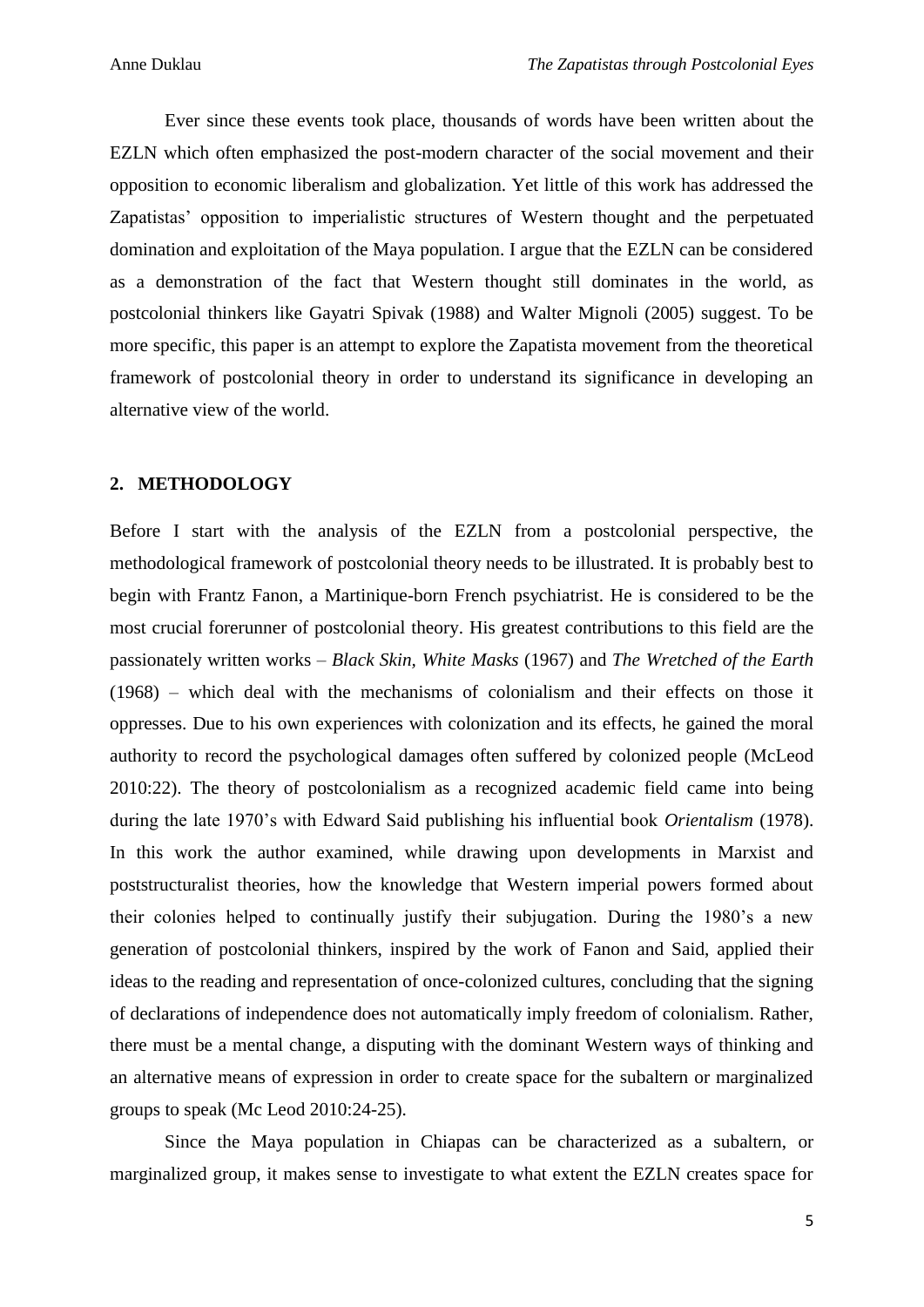Ever since these events took place, thousands of words have been written about the EZLN which often emphasized the post-modern character of the social movement and their opposition to economic liberalism and globalization. Yet little of this work has addressed the Zapatistas' opposition to imperialistic structures of Western thought and the perpetuated domination and exploitation of the Maya population. I argue that the EZLN can be considered as a demonstration of the fact that Western thought still dominates in the world, as postcolonial thinkers like Gayatri Spivak (1988) and Walter Mignoli (2005) suggest. To be more specific, this paper is an attempt to explore the Zapatista movement from the theoretical framework of postcolonial theory in order to understand its significance in developing an alternative view of the world.

#### **2. METHODOLOGY**

Before I start with the analysis of the EZLN from a postcolonial perspective, the methodological framework of postcolonial theory needs to be illustrated. It is probably best to begin with Frantz Fanon, a Martinique-born French psychiatrist. He is considered to be the most crucial forerunner of postcolonial theory. His greatest contributions to this field are the passionately written works – *Black Skin, White Masks* (1967) and *The Wretched of the Earth* (1968) – which deal with the mechanisms of colonialism and their effects on those it oppresses. Due to his own experiences with colonization and its effects, he gained the moral authority to record the psychological damages often suffered by colonized people (McLeod 2010:22). The theory of postcolonialism as a recognized academic field came into being during the late 1970's with Edward Said publishing his influential book *Orientalism* (1978). In this work the author examined, while drawing upon developments in Marxist and poststructuralist theories, how the knowledge that Western imperial powers formed about their colonies helped to continually justify their subjugation. During the 1980's a new generation of postcolonial thinkers, inspired by the work of Fanon and Said, applied their ideas to the reading and representation of once-colonized cultures, concluding that the signing of declarations of independence does not automatically imply freedom of colonialism. Rather, there must be a mental change, a disputing with the dominant Western ways of thinking and an alternative means of expression in order to create space for the subaltern or marginalized groups to speak (Mc Leod 2010:24-25).

Since the Maya population in Chiapas can be characterized as a subaltern, or marginalized group, it makes sense to investigate to what extent the EZLN creates space for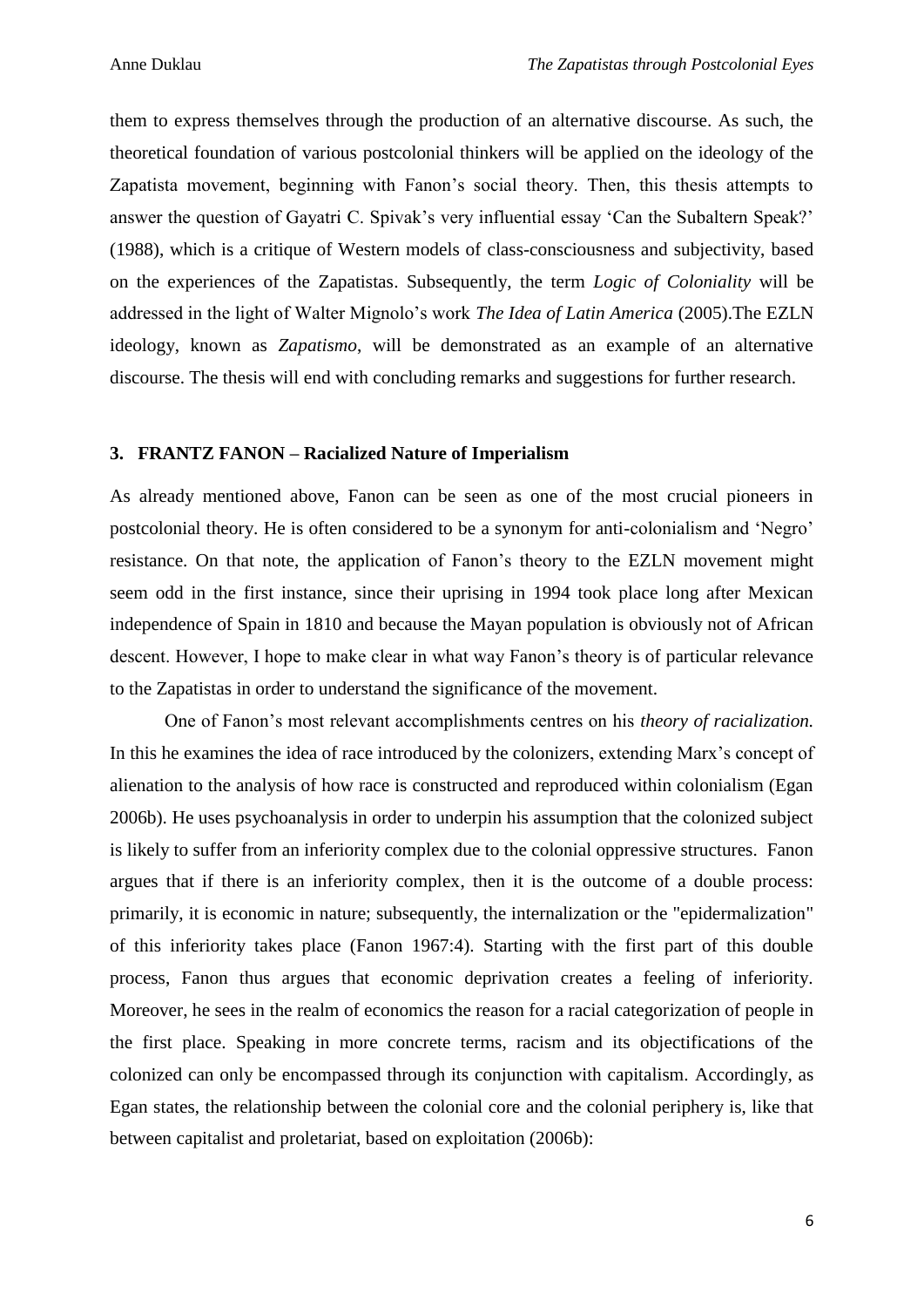them to express themselves through the production of an alternative discourse. As such, the theoretical foundation of various postcolonial thinkers will be applied on the ideology of the Zapatista movement, beginning with Fanon's social theory. Then, this thesis attempts to answer the question of Gayatri C. Spivak's very influential essay 'Can the Subaltern Speak?' (1988), which is a critique of Western models of class-consciousness and subjectivity, based on the experiences of the Zapatistas. Subsequently, the term *Logic of Coloniality* will be addressed in the light of Walter Mignolo's work *The Idea of Latin America* (2005).The EZLN ideology, known as *Zapatismo*, will be demonstrated as an example of an alternative discourse. The thesis will end with concluding remarks and suggestions for further research.

#### **3. FRANTZ FANON – Racialized Nature of Imperialism**

As already mentioned above, Fanon can be seen as one of the most crucial pioneers in postcolonial theory. He is often considered to be a synonym for anti-colonialism and 'Negro' resistance. On that note, the application of Fanon's theory to the EZLN movement might seem odd in the first instance, since their uprising in 1994 took place long after Mexican independence of Spain in 1810 and because the Mayan population is obviously not of African descent. However, I hope to make clear in what way Fanon's theory is of particular relevance to the Zapatistas in order to understand the significance of the movement.

One of Fanon's most relevant accomplishments centres on his *theory of racialization.* In this he examines the idea of race introduced by the colonizers, extending Marx's concept of alienation to the analysis of how race is constructed and reproduced within colonialism (Egan 2006b). He uses psychoanalysis in order to underpin his assumption that the colonized subject is likely to suffer from an inferiority complex due to the colonial oppressive structures. Fanon argues that if there is an inferiority complex, then it is the outcome of a double process: primarily, it is economic in nature; subsequently, the internalization or the "epidermalization" of this inferiority takes place (Fanon 1967:4). Starting with the first part of this double process, Fanon thus argues that economic deprivation creates a feeling of inferiority. Moreover, he sees in the realm of economics the reason for a racial categorization of people in the first place. Speaking in more concrete terms, racism and its objectifications of the colonized can only be encompassed through its conjunction with capitalism. Accordingly, as Egan states, the relationship between the colonial core and the colonial periphery is, like that between capitalist and proletariat, based on exploitation (2006b):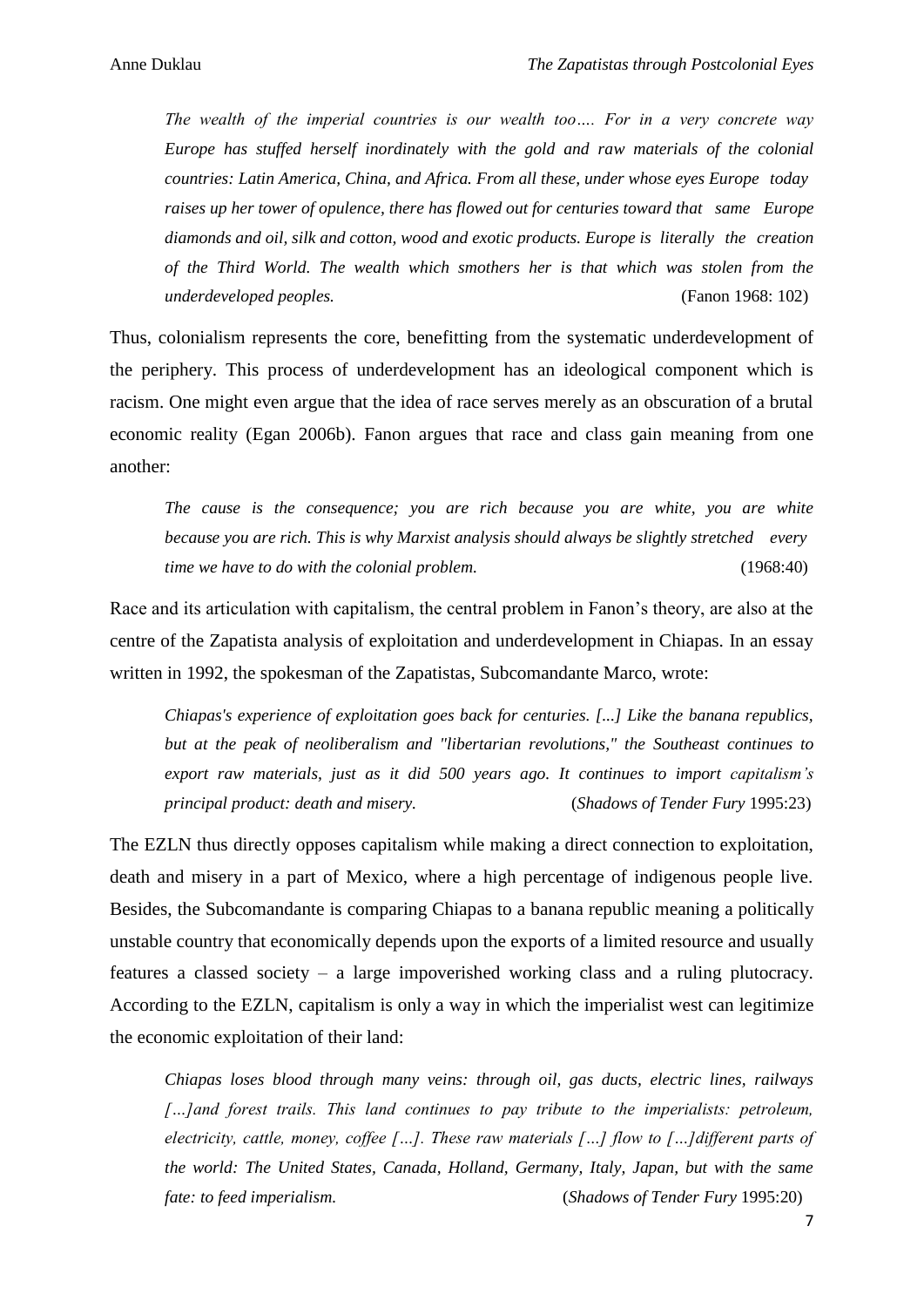*The wealth of the imperial countries is our wealth too…. For in a very concrete way Europe has stuffed herself inordinately with the gold and raw materials of the colonial countries: Latin America, China, and Africa. From all these, under whose eyes Europe today raises up her tower of opulence, there has flowed out for centuries toward that same Europe diamonds and oil, silk and cotton, wood and exotic products. Europe is literally the creation of the Third World. The wealth which smothers her is that which was stolen from the underdeveloped peoples.* (Fanon 1968: 102)

Thus, colonialism represents the core, benefitting from the systematic underdevelopment of the periphery. This process of underdevelopment has an ideological component which is racism. One might even argue that the idea of race serves merely as an obscuration of a brutal economic reality (Egan 2006b). Fanon argues that race and class gain meaning from one another:

*The cause is the consequence; you are rich because you are white, you are white because you are rich. This is why Marxist analysis should always be slightly stretched every time we have to do with the colonial problem.* (1968:40)

Race and its articulation with capitalism, the central problem in Fanon's theory, are also at the centre of the Zapatista analysis of exploitation and underdevelopment in Chiapas. In an essay written in 1992, the spokesman of the Zapatistas, Subcomandante Marco, wrote:

*Chiapas's experience of exploitation goes back for centuries. [...] Like the banana republics, but at the peak of neoliberalism and "libertarian revolutions," the Southeast continues to export raw materials, just as it did 500 years ago. It continues to import capitalism's principal product: death and misery.* (*Shadows of Tender Fury* 1995:23)

The EZLN thus directly opposes capitalism while making a direct connection to exploitation, death and misery in a part of Mexico, where a high percentage of indigenous people live. Besides, the Subcomandante is comparing Chiapas to a banana republic meaning a politically unstable country that economically depends upon the exports of a limited resource and usually features a classed society – a large impoverished working class and a ruling plutocracy. According to the EZLN, capitalism is only a way in which the imperialist west can legitimize the economic exploitation of their land:

*Chiapas loses blood through many veins: through oil, gas ducts, electric lines, railways […]and forest trails. This land continues to pay tribute to the imperialists: petroleum, electricity, cattle, money, coffee […]. These raw materials […] flow to […]different parts of the world: The United States, Canada, Holland, Germany, Italy, Japan, but with the same fate: to feed imperialism.* (*Shadows of Tender Fury* 1995:20)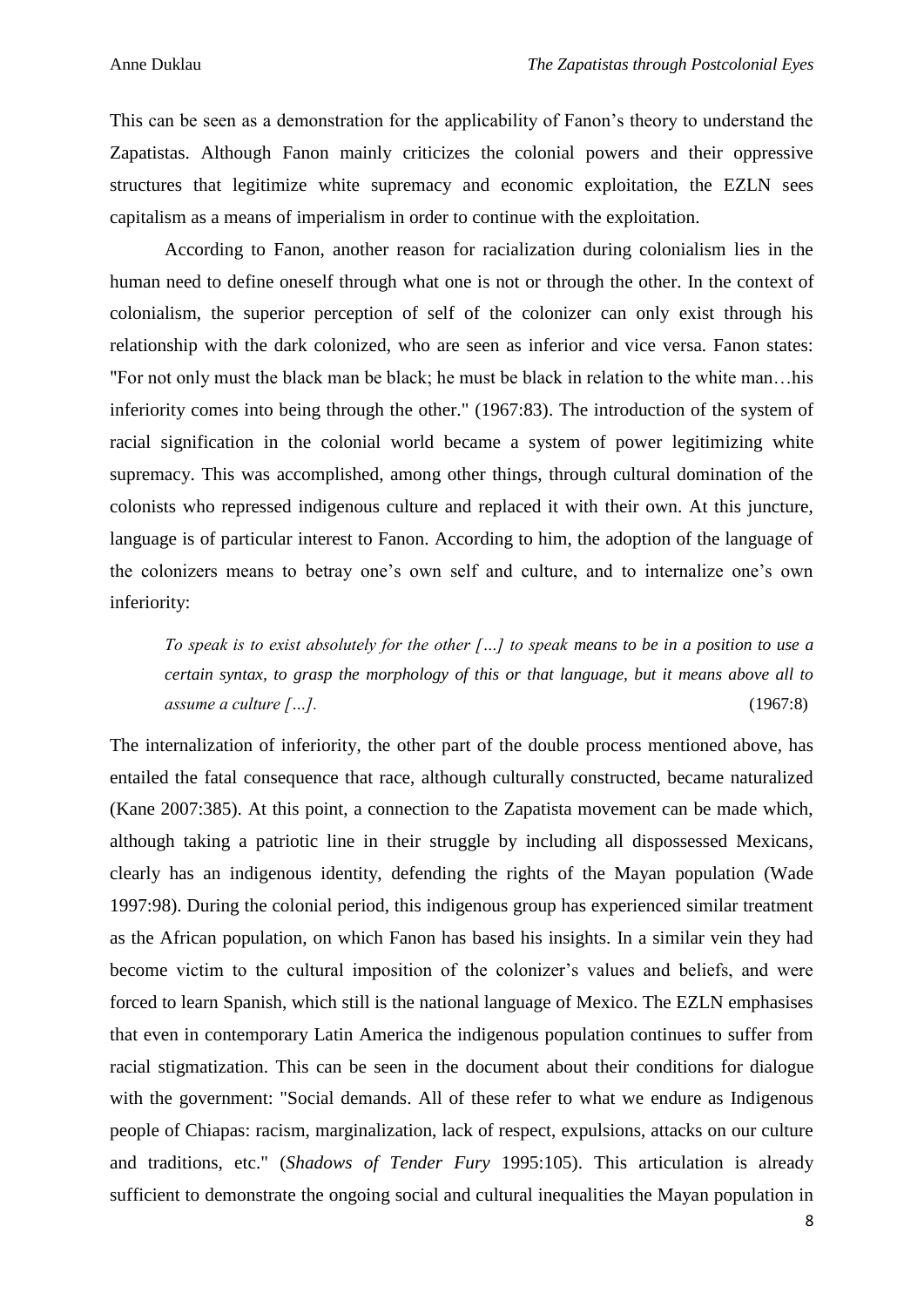This can be seen as a demonstration for the applicability of Fanon's theory to understand the Zapatistas. Although Fanon mainly criticizes the colonial powers and their oppressive structures that legitimize white supremacy and economic exploitation, the EZLN sees capitalism as a means of imperialism in order to continue with the exploitation.

According to Fanon, another reason for racialization during colonialism lies in the human need to define oneself through what one is not or through the other. In the context of colonialism, the superior perception of self of the colonizer can only exist through his relationship with the dark colonized, who are seen as inferior and vice versa. Fanon states: "For not only must the black man be black; he must be black in relation to the white man…his inferiority comes into being through the other." (1967:83). The introduction of the system of racial signification in the colonial world became a system of power legitimizing white supremacy. This was accomplished, among other things, through cultural domination of the colonists who repressed indigenous culture and replaced it with their own. At this juncture, language is of particular interest to Fanon. According to him, the adoption of the language of the colonizers means to betray one's own self and culture, and to internalize one's own inferiority:

*To speak is to exist absolutely for the other […] to speak means to be in a position to use a certain syntax, to grasp the morphology of this or that language, but it means above all to assume a culture […].* (1967:8)

The internalization of inferiority, the other part of the double process mentioned above, has entailed the fatal consequence that race, although culturally constructed, became naturalized (Kane 2007:385). At this point, a connection to the Zapatista movement can be made which, although taking a patriotic line in their struggle by including all dispossessed Mexicans, clearly has an indigenous identity, defending the rights of the Mayan population (Wade 1997:98). During the colonial period, this indigenous group has experienced similar treatment as the African population, on which Fanon has based his insights. In a similar vein they had become victim to the cultural imposition of the colonizer's values and beliefs, and were forced to learn Spanish, which still is the national language of Mexico. The EZLN emphasises that even in contemporary Latin America the indigenous population continues to suffer from racial stigmatization. This can be seen in the document about their conditions for dialogue with the government: "Social demands. All of these refer to what we endure as Indigenous people of Chiapas: racism, marginalization, lack of respect, expulsions, attacks on our culture and traditions, etc." (*Shadows of Tender Fury* 1995:105). This articulation is already sufficient to demonstrate the ongoing social and cultural inequalities the Mayan population in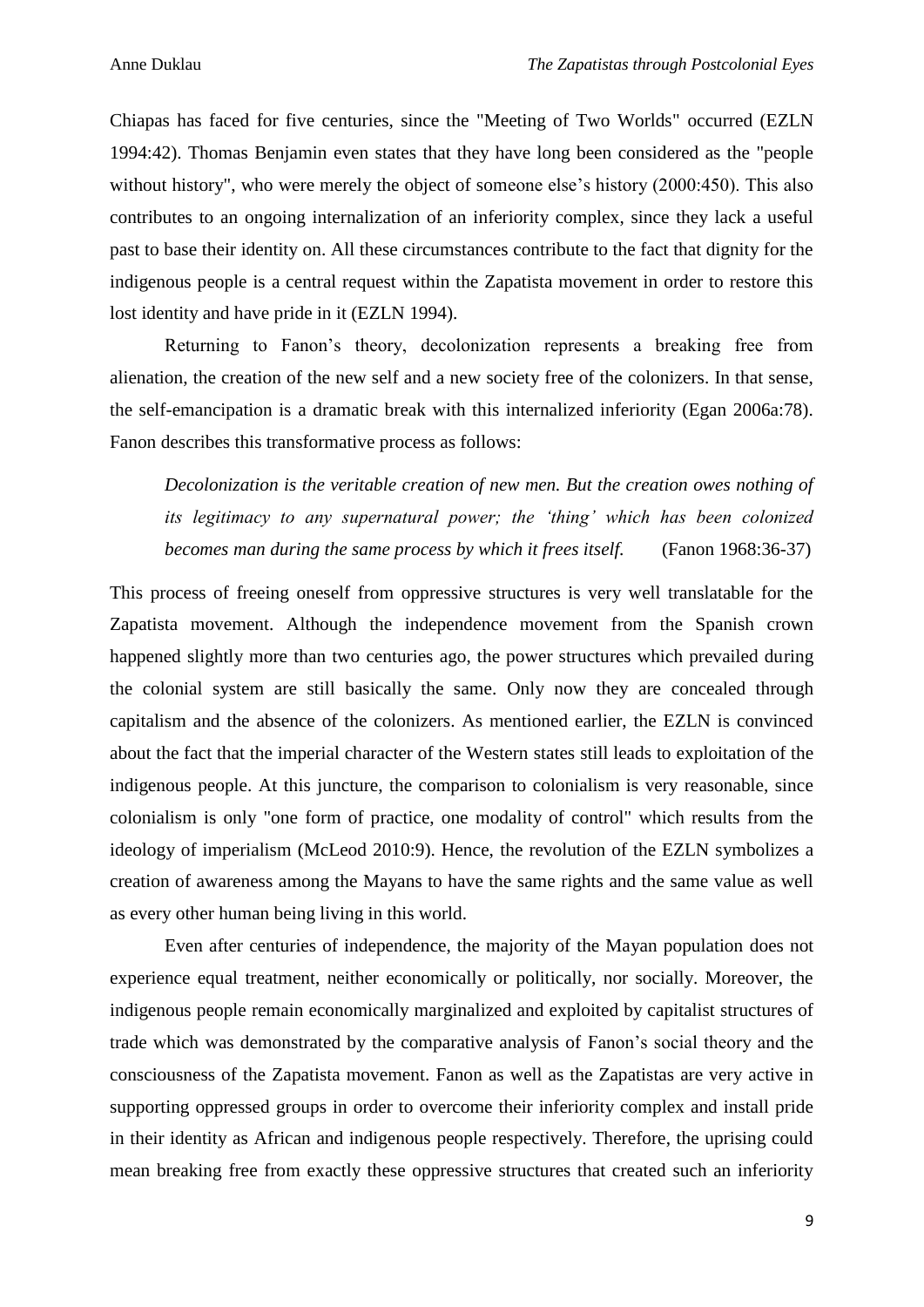Chiapas has faced for five centuries, since the "Meeting of Two Worlds" occurred (EZLN 1994:42). Thomas Benjamin even states that they have long been considered as the "people without history", who were merely the object of someone else's history (2000:450). This also contributes to an ongoing internalization of an inferiority complex, since they lack a useful past to base their identity on. All these circumstances contribute to the fact that dignity for the indigenous people is a central request within the Zapatista movement in order to restore this lost identity and have pride in it (EZLN 1994).

Returning to Fanon's theory, decolonization represents a breaking free from alienation, the creation of the new self and a new society free of the colonizers. In that sense, the self-emancipation is a dramatic break with this internalized inferiority (Egan 2006a:78). Fanon describes this transformative process as follows:

*Decolonization is the veritable creation of new men. But the creation owes nothing of its legitimacy to any supernatural power; the 'thing' which has been colonized becomes man during the same process by which it frees itself.* (Fanon 1968:36-37)

This process of freeing oneself from oppressive structures is very well translatable for the Zapatista movement. Although the independence movement from the Spanish crown happened slightly more than two centuries ago, the power structures which prevailed during the colonial system are still basically the same. Only now they are concealed through capitalism and the absence of the colonizers. As mentioned earlier, the EZLN is convinced about the fact that the imperial character of the Western states still leads to exploitation of the indigenous people. At this juncture, the comparison to colonialism is very reasonable, since colonialism is only "one form of practice, one modality of control" which results from the ideology of imperialism (McLeod 2010:9). Hence, the revolution of the EZLN symbolizes a creation of awareness among the Mayans to have the same rights and the same value as well as every other human being living in this world.

Even after centuries of independence, the majority of the Mayan population does not experience equal treatment, neither economically or politically, nor socially. Moreover, the indigenous people remain economically marginalized and exploited by capitalist structures of trade which was demonstrated by the comparative analysis of Fanon's social theory and the consciousness of the Zapatista movement. Fanon as well as the Zapatistas are very active in supporting oppressed groups in order to overcome their inferiority complex and install pride in their identity as African and indigenous people respectively. Therefore, the uprising could mean breaking free from exactly these oppressive structures that created such an inferiority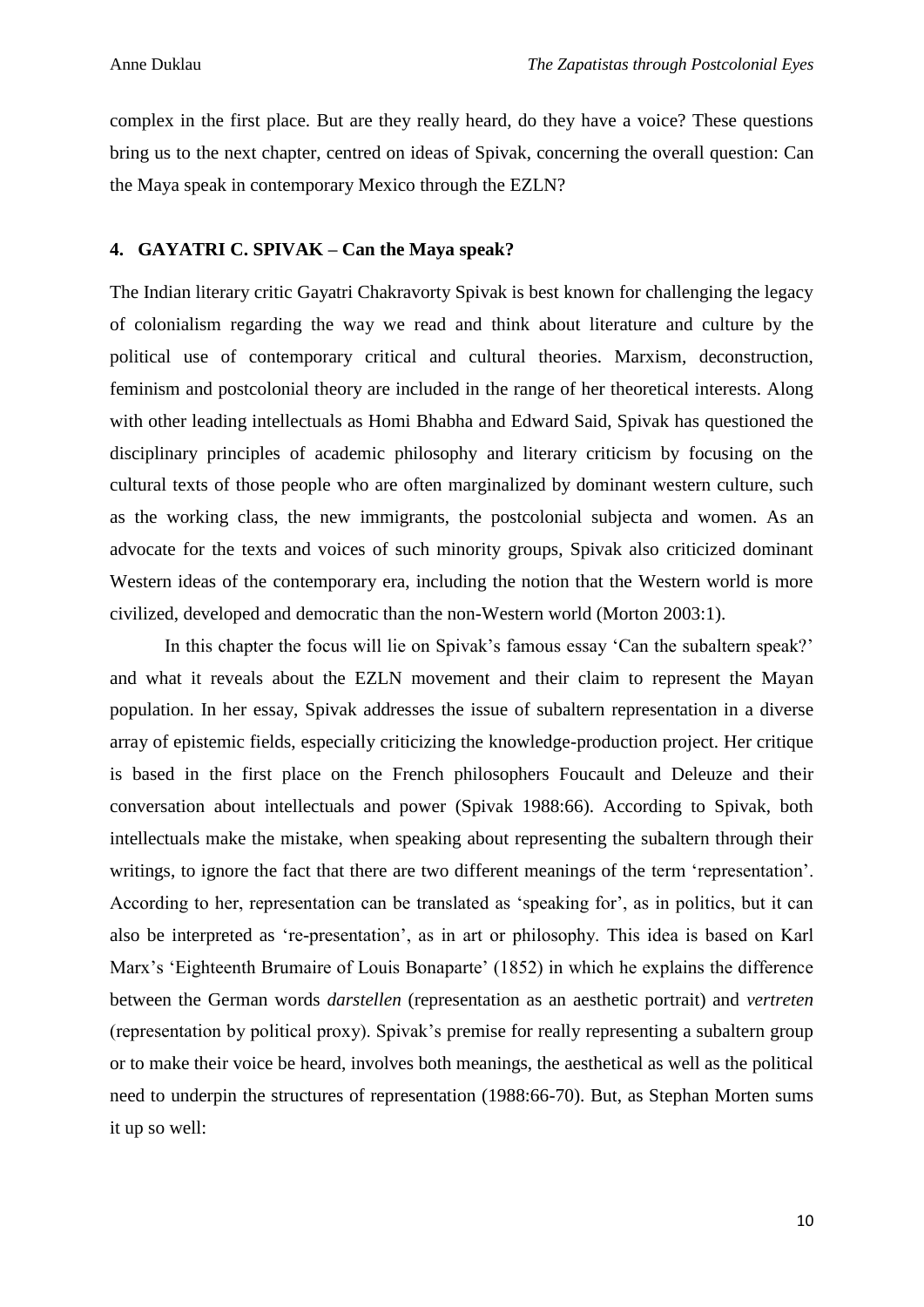complex in the first place. But are they really heard, do they have a voice? These questions bring us to the next chapter, centred on ideas of Spivak, concerning the overall question: Can the Maya speak in contemporary Mexico through the EZLN?

#### **4. GAYATRI C. SPIVAK – Can the Maya speak?**

The Indian literary critic Gayatri Chakravorty Spivak is best known for challenging the legacy of colonialism regarding the way we read and think about literature and culture by the political use of contemporary critical and cultural theories. Marxism, deconstruction, feminism and postcolonial theory are included in the range of her theoretical interests. Along with other leading intellectuals as Homi Bhabha and Edward Said, Spivak has questioned the disciplinary principles of academic philosophy and literary criticism by focusing on the cultural texts of those people who are often marginalized by dominant western culture, such as the working class, the new immigrants, the postcolonial subjecta and women. As an advocate for the texts and voices of such minority groups, Spivak also criticized dominant Western ideas of the contemporary era, including the notion that the Western world is more civilized, developed and democratic than the non-Western world (Morton 2003:1).

In this chapter the focus will lie on Spivak's famous essay 'Can the subaltern speak?' and what it reveals about the EZLN movement and their claim to represent the Mayan population. In her essay, Spivak addresses the issue of subaltern representation in a diverse array of epistemic fields, especially criticizing the knowledge-production project. Her critique is based in the first place on the French philosophers Foucault and Deleuze and their conversation about intellectuals and power (Spivak 1988:66). According to Spivak, both intellectuals make the mistake, when speaking about representing the subaltern through their writings, to ignore the fact that there are two different meanings of the term 'representation'. According to her, representation can be translated as 'speaking for', as in politics, but it can also be interpreted as 're-presentation', as in art or philosophy. This idea is based on Karl Marx's 'Eighteenth Brumaire of Louis Bonaparte' (1852) in which he explains the difference between the German words *darstellen* (representation as an aesthetic portrait) and *vertreten* (representation by political proxy). Spivak's premise for really representing a subaltern group or to make their voice be heard, involves both meanings, the aesthetical as well as the political need to underpin the structures of representation (1988:66-70). But, as Stephan Morten sums it up so well: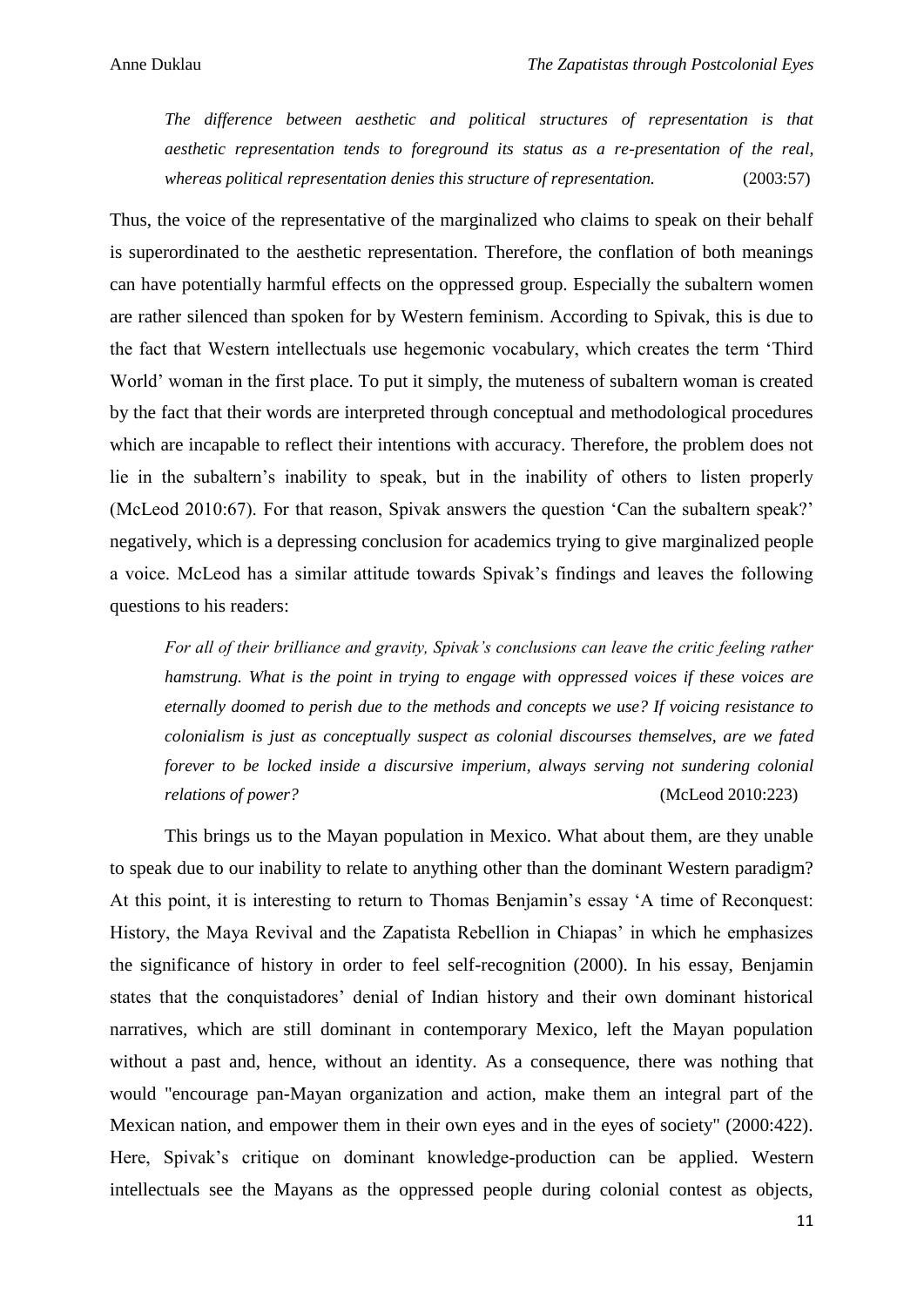*The difference between aesthetic and political structures of representation is that aesthetic representation tends to foreground its status as a re-presentation of the real, whereas political representation denies this structure of representation.* (2003:57)

Thus, the voice of the representative of the marginalized who claims to speak on their behalf is superordinated to the aesthetic representation. Therefore, the conflation of both meanings can have potentially harmful effects on the oppressed group. Especially the subaltern women are rather silenced than spoken for by Western feminism. According to Spivak, this is due to the fact that Western intellectuals use hegemonic vocabulary, which creates the term 'Third World' woman in the first place. To put it simply, the muteness of subaltern woman is created by the fact that their words are interpreted through conceptual and methodological procedures which are incapable to reflect their intentions with accuracy. Therefore, the problem does not lie in the subaltern's inability to speak, but in the inability of others to listen properly (McLeod 2010:67). For that reason, Spivak answers the question 'Can the subaltern speak?' negatively, which is a depressing conclusion for academics trying to give marginalized people a voice. McLeod has a similar attitude towards Spivak's findings and leaves the following questions to his readers:

*For all of their brilliance and gravity, Spivak's conclusions can leave the critic feeling rather hamstrung. What is the point in trying to engage with oppressed voices if these voices are eternally doomed to perish due to the methods and concepts we use? If voicing resistance to colonialism is just as conceptually suspect as colonial discourses themselves, are we fated forever to be locked inside a discursive imperium, always serving not sundering colonial relations of power?* (McLeod 2010:223)

This brings us to the Mayan population in Mexico. What about them, are they unable to speak due to our inability to relate to anything other than the dominant Western paradigm? At this point, it is interesting to return to Thomas Benjamin's essay 'A time of Reconquest: History, the Maya Revival and the Zapatista Rebellion in Chiapas' in which he emphasizes the significance of history in order to feel self-recognition (2000). In his essay, Benjamin states that the conquistadores' denial of Indian history and their own dominant historical narratives, which are still dominant in contemporary Mexico, left the Mayan population without a past and, hence, without an identity. As a consequence, there was nothing that would "encourage pan-Mayan organization and action, make them an integral part of the Mexican nation, and empower them in their own eyes and in the eyes of society" (2000:422). Here, Spivak's critique on dominant knowledge-production can be applied. Western intellectuals see the Mayans as the oppressed people during colonial contest as objects,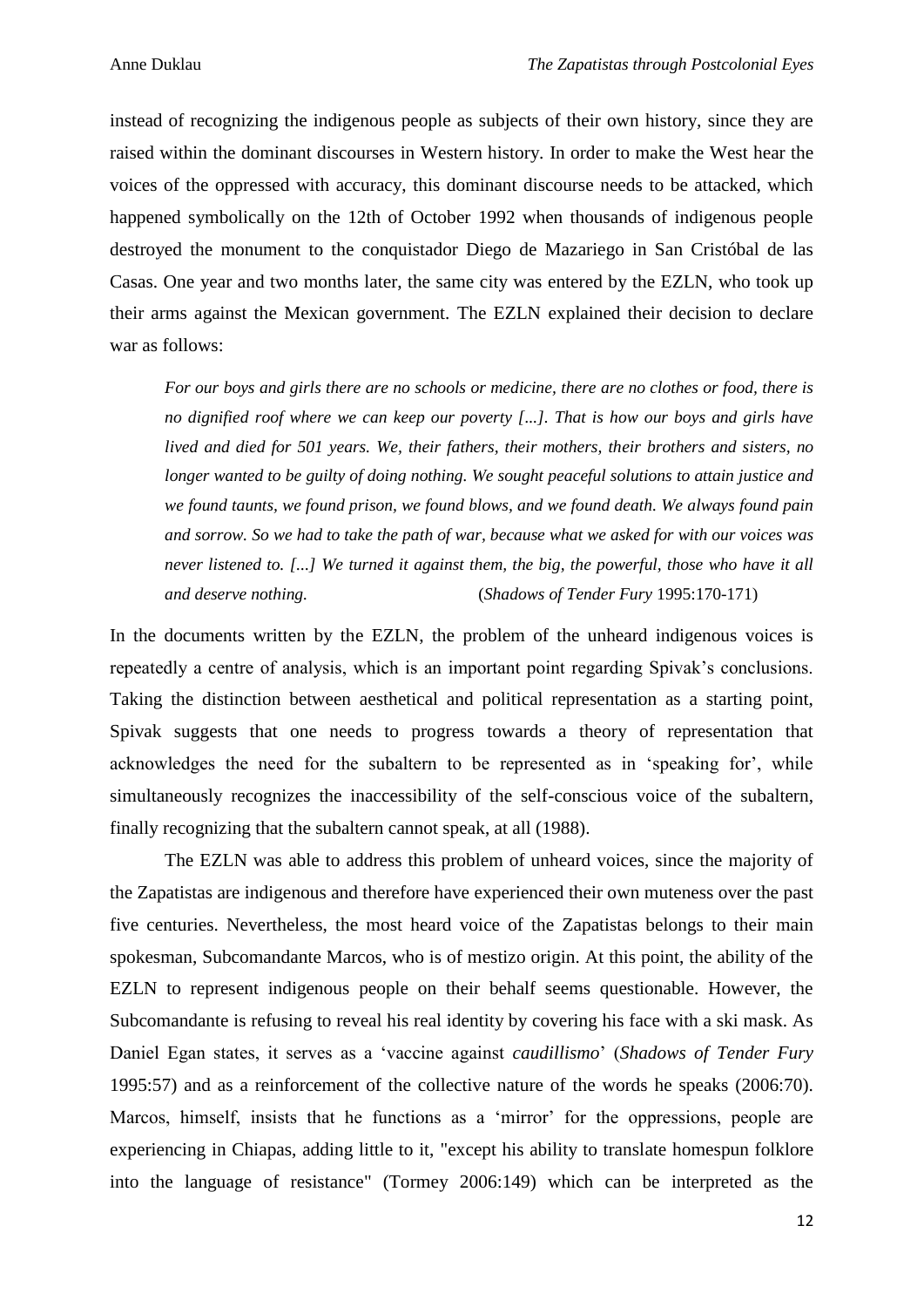instead of recognizing the indigenous people as subjects of their own history, since they are raised within the dominant discourses in Western history. In order to make the West hear the voices of the oppressed with accuracy, this dominant discourse needs to be attacked, which happened symbolically on the 12th of October 1992 when thousands of indigenous people destroyed the monument to the conquistador Diego de Mazariego in San Cristóbal de las Casas. One year and two months later, the same city was entered by the EZLN, who took up their arms against the Mexican government. The EZLN explained their decision to declare war as follows:

*For our boys and girls there are no schools or medicine, there are no clothes or food, there is no dignified roof where we can keep our poverty [...]. That is how our boys and girls have lived and died for 501 years. We, their fathers, their mothers, their brothers and sisters, no longer wanted to be guilty of doing nothing. We sought peaceful solutions to attain justice and we found taunts, we found prison, we found blows, and we found death. We always found pain and sorrow. So we had to take the path of war, because what we asked for with our voices was never listened to. [...] We turned it against them, the big, the powerful, those who have it all and deserve nothing.* (*Shadows of Tender Fury* 1995:170-171)

In the documents written by the EZLN, the problem of the unheard indigenous voices is repeatedly a centre of analysis, which is an important point regarding Spivak's conclusions. Taking the distinction between aesthetical and political representation as a starting point, Spivak suggests that one needs to progress towards a theory of representation that acknowledges the need for the subaltern to be represented as in 'speaking for', while simultaneously recognizes the inaccessibility of the self-conscious voice of the subaltern, finally recognizing that the subaltern cannot speak, at all (1988).

The EZLN was able to address this problem of unheard voices, since the majority of the Zapatistas are indigenous and therefore have experienced their own muteness over the past five centuries. Nevertheless, the most heard voice of the Zapatistas belongs to their main spokesman, Subcomandante Marcos, who is of mestizo origin. At this point, the ability of the EZLN to represent indigenous people on their behalf seems questionable. However, the Subcomandante is refusing to reveal his real identity by covering his face with a ski mask. As Daniel Egan states, it serves as a 'vaccine against *caudillismo*' (*Shadows of Tender Fury* 1995:57) and as a reinforcement of the collective nature of the words he speaks (2006:70). Marcos, himself, insists that he functions as a 'mirror' for the oppressions, people are experiencing in Chiapas, adding little to it, "except his ability to translate homespun folklore into the language of resistance" (Tormey 2006:149) which can be interpreted as the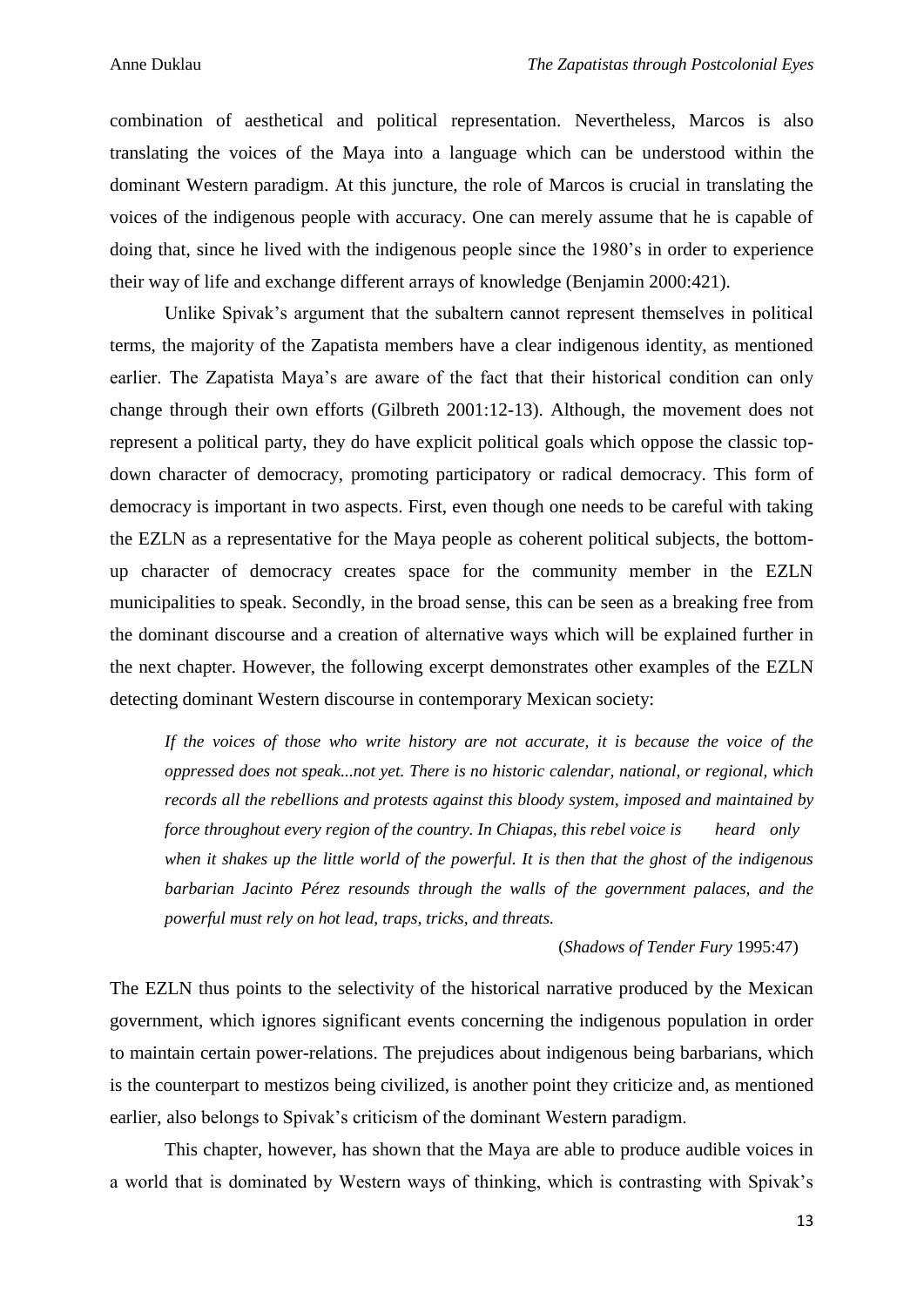combination of aesthetical and political representation. Nevertheless, Marcos is also translating the voices of the Maya into a language which can be understood within the dominant Western paradigm. At this juncture, the role of Marcos is crucial in translating the voices of the indigenous people with accuracy. One can merely assume that he is capable of doing that, since he lived with the indigenous people since the 1980's in order to experience their way of life and exchange different arrays of knowledge (Benjamin 2000:421).

Unlike Spivak's argument that the subaltern cannot represent themselves in political terms, the majority of the Zapatista members have a clear indigenous identity, as mentioned earlier. The Zapatista Maya's are aware of the fact that their historical condition can only change through their own efforts (Gilbreth 2001:12-13). Although, the movement does not represent a political party, they do have explicit political goals which oppose the classic topdown character of democracy, promoting participatory or radical democracy. This form of democracy is important in two aspects. First, even though one needs to be careful with taking the EZLN as a representative for the Maya people as coherent political subjects, the bottomup character of democracy creates space for the community member in the EZLN municipalities to speak. Secondly, in the broad sense, this can be seen as a breaking free from the dominant discourse and a creation of alternative ways which will be explained further in the next chapter. However, the following excerpt demonstrates other examples of the EZLN detecting dominant Western discourse in contemporary Mexican society:

*If the voices of those who write history are not accurate, it is because the voice of the oppressed does not speak...not yet. There is no historic calendar, national, or regional, which records all the rebellions and protests against this bloody system, imposed and maintained by force throughout every region of the country. In Chiapas, this rebel voice is heard only when it shakes up the little world of the powerful. It is then that the ghost of the indigenous barbarian Jacinto Pérez resounds through the walls of the government palaces, and the powerful must rely on hot lead, traps, tricks, and threats.*

(*Shadows of Tender Fury* 1995:47)

The EZLN thus points to the selectivity of the historical narrative produced by the Mexican government, which ignores significant events concerning the indigenous population in order to maintain certain power-relations. The prejudices about indigenous being barbarians, which is the counterpart to mestizos being civilized, is another point they criticize and, as mentioned earlier, also belongs to Spivak's criticism of the dominant Western paradigm.

This chapter, however, has shown that the Maya are able to produce audible voices in a world that is dominated by Western ways of thinking, which is contrasting with Spivak's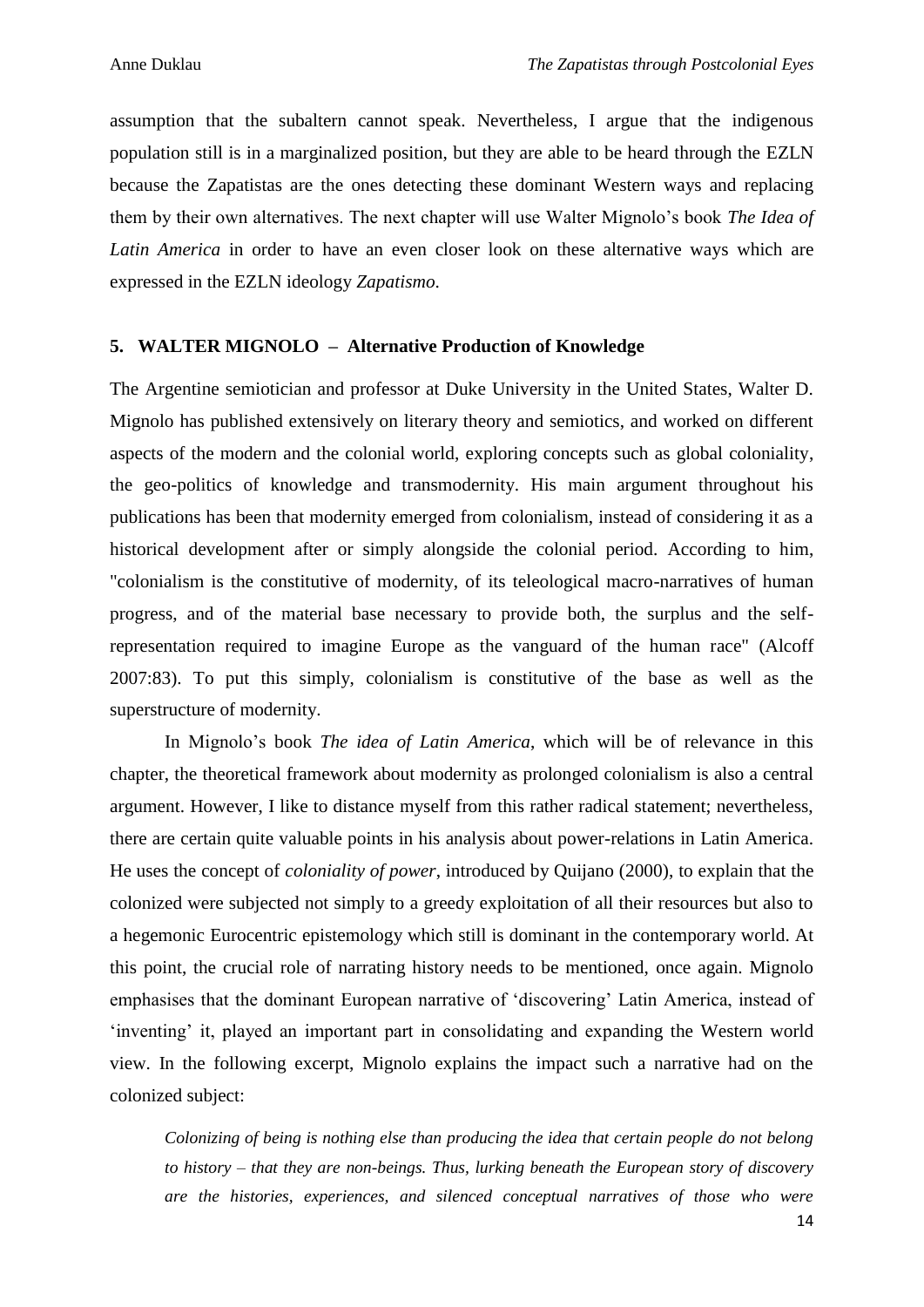assumption that the subaltern cannot speak. Nevertheless, I argue that the indigenous population still is in a marginalized position, but they are able to be heard through the EZLN because the Zapatistas are the ones detecting these dominant Western ways and replacing them by their own alternatives. The next chapter will use Walter Mignolo's book *The Idea of Latin America* in order to have an even closer look on these alternative ways which are expressed in the EZLN ideology *Zapatismo*.

#### **5. WALTER MIGNOLO – Alternative Production of Knowledge**

The Argentine semiotician and professor at Duke University in the United States, Walter D. Mignolo has published extensively on literary theory and semiotics, and worked on different aspects of the modern and the colonial world, exploring concepts such as global coloniality, the geo-politics of knowledge and transmodernity. His main argument throughout his publications has been that modernity emerged from colonialism, instead of considering it as a historical development after or simply alongside the colonial period. According to him, "colonialism is the constitutive of modernity, of its teleological macro-narratives of human progress, and of the material base necessary to provide both, the surplus and the selfrepresentation required to imagine Europe as the vanguard of the human race" (Alcoff 2007:83). To put this simply, colonialism is constitutive of the base as well as the superstructure of modernity.

In Mignolo's book *The idea of Latin America*, which will be of relevance in this chapter, the theoretical framework about modernity as prolonged colonialism is also a central argument. However, I like to distance myself from this rather radical statement; nevertheless, there are certain quite valuable points in his analysis about power-relations in Latin America. He uses the concept of *coloniality of power*, introduced by Quijano (2000), to explain that the colonized were subjected not simply to a greedy exploitation of all their resources but also to a hegemonic Eurocentric epistemology which still is dominant in the contemporary world. At this point, the crucial role of narrating history needs to be mentioned, once again. Mignolo emphasises that the dominant European narrative of 'discovering' Latin America, instead of 'inventing' it, played an important part in consolidating and expanding the Western world view. In the following excerpt, Mignolo explains the impact such a narrative had on the colonized subject:

*Colonizing of being is nothing else than producing the idea that certain people do not belong to history – that they are non-beings. Thus, lurking beneath the European story of discovery are the histories, experiences, and silenced conceptual narratives of those who were*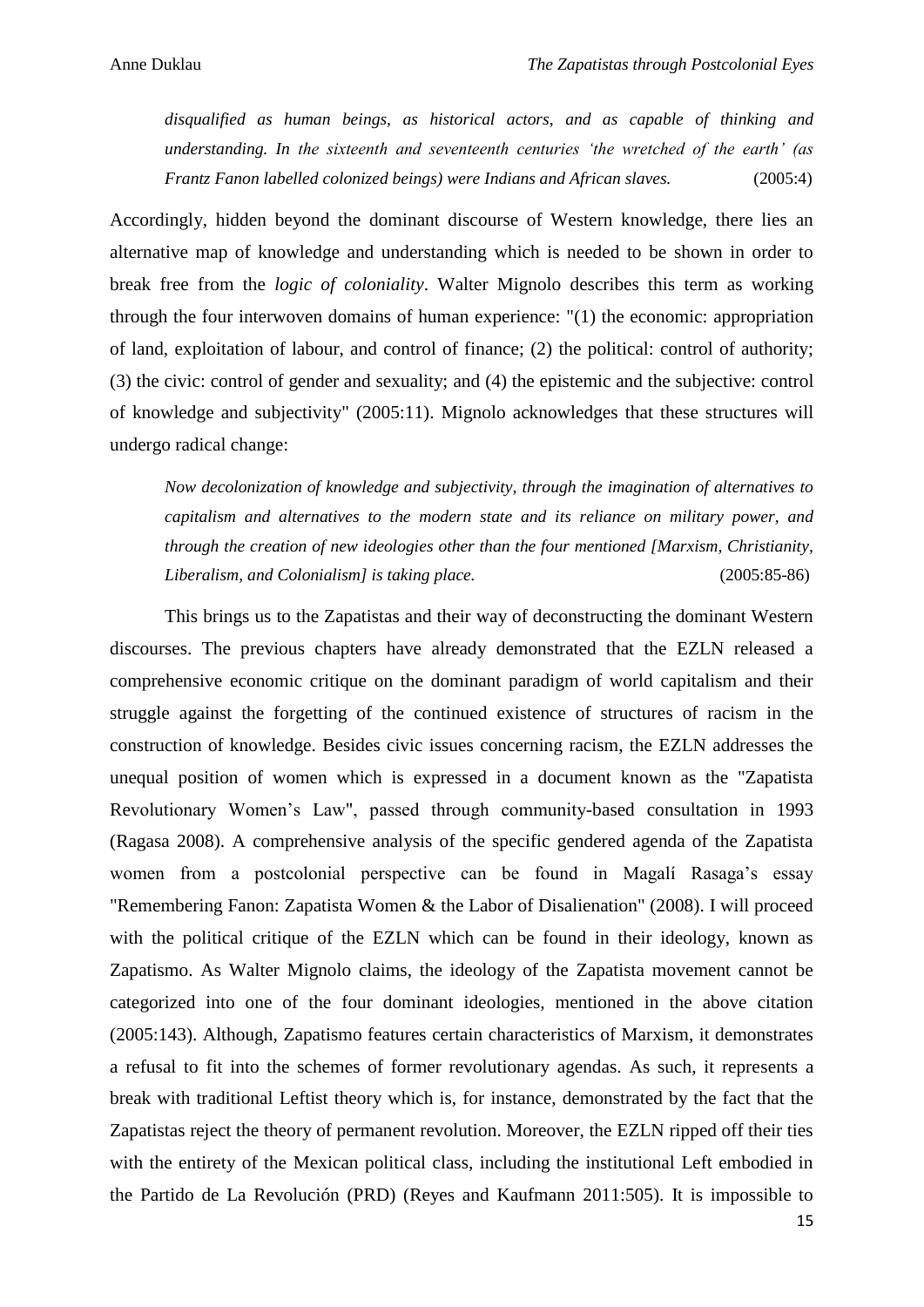*disqualified as human beings, as historical actors, and as capable of thinking and understanding. In the sixteenth and seventeenth centuries 'the wretched of the earth' (as Frantz Fanon labelled colonized beings) were Indians and African slaves.* (2005:4)

Accordingly, hidden beyond the dominant discourse of Western knowledge, there lies an alternative map of knowledge and understanding which is needed to be shown in order to break free from the *logic of coloniality*. Walter Mignolo describes this term as working through the four interwoven domains of human experience: "(1) the economic: appropriation of land, exploitation of labour, and control of finance; (2) the political: control of authority; (3) the civic: control of gender and sexuality; and (4) the epistemic and the subjective: control of knowledge and subjectivity" (2005:11). Mignolo acknowledges that these structures will undergo radical change:

*Now decolonization of knowledge and subjectivity, through the imagination of alternatives to capitalism and alternatives to the modern state and its reliance on military power, and through the creation of new ideologies other than the four mentioned [Marxism, Christianity, Liberalism, and Colonialism] is taking place.* (2005:85-86)

This brings us to the Zapatistas and their way of deconstructing the dominant Western discourses. The previous chapters have already demonstrated that the EZLN released a comprehensive economic critique on the dominant paradigm of world capitalism and their struggle against the forgetting of the continued existence of structures of racism in the construction of knowledge. Besides civic issues concerning racism, the EZLN addresses the unequal position of women which is expressed in a document known as the "Zapatista Revolutionary Women's Law", passed through community-based consultation in 1993 (Ragasa 2008). A comprehensive analysis of the specific gendered agenda of the Zapatista women from a postcolonial perspective can be found in Magalí Rasaga's essay "Remembering Fanon: Zapatista Women & the Labor of Disalienation" (2008). I will proceed with the political critique of the EZLN which can be found in their ideology, known as Zapatismo. As Walter Mignolo claims, the ideology of the Zapatista movement cannot be categorized into one of the four dominant ideologies, mentioned in the above citation (2005:143). Although, Zapatismo features certain characteristics of Marxism, it demonstrates a refusal to fit into the schemes of former revolutionary agendas. As such, it represents a break with traditional Leftist theory which is, for instance, demonstrated by the fact that the Zapatistas reject the theory of permanent revolution. Moreover, the EZLN ripped off their ties with the entirety of the Mexican political class, including the institutional Left embodied in the Partido de La Revolución (PRD) (Reyes and Kaufmann 2011:505). It is impossible to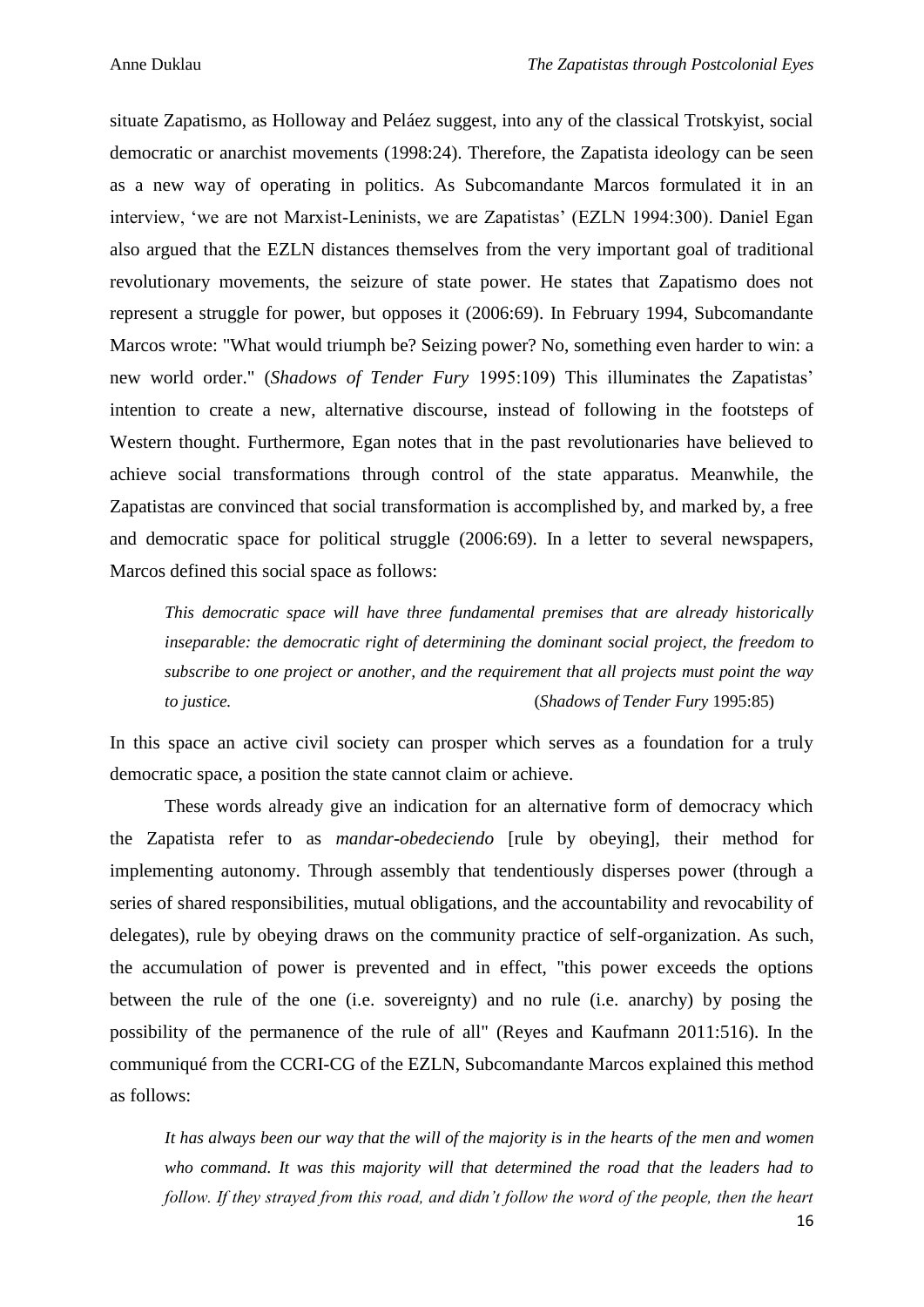situate Zapatismo, as Holloway and Peláez suggest, into any of the classical Trotskyist, social democratic or anarchist movements (1998:24). Therefore, the Zapatista ideology can be seen as a new way of operating in politics. As Subcomandante Marcos formulated it in an interview, 'we are not Marxist-Leninists, we are Zapatistas' (EZLN 1994:300). Daniel Egan also argued that the EZLN distances themselves from the very important goal of traditional revolutionary movements, the seizure of state power. He states that Zapatismo does not represent a struggle for power, but opposes it (2006:69). In February 1994, Subcomandante Marcos wrote: "What would triumph be? Seizing power? No, something even harder to win: a new world order." (*Shadows of Tender Fury* 1995:109) This illuminates the Zapatistas' intention to create a new, alternative discourse, instead of following in the footsteps of Western thought. Furthermore, Egan notes that in the past revolutionaries have believed to achieve social transformations through control of the state apparatus. Meanwhile, the Zapatistas are convinced that social transformation is accomplished by, and marked by, a free and democratic space for political struggle (2006:69). In a letter to several newspapers, Marcos defined this social space as follows:

*This democratic space will have three fundamental premises that are already historically inseparable: the democratic right of determining the dominant social project, the freedom to subscribe to one project or another, and the requirement that all projects must point the way to justice.* (*Shadows of Tender Fury* 1995:85)

In this space an active civil society can prosper which serves as a foundation for a truly democratic space, a position the state cannot claim or achieve.

These words already give an indication for an alternative form of democracy which the Zapatista refer to as *mandar-obedeciendo* [rule by obeying], their method for implementing autonomy. Through assembly that tendentiously disperses power (through a series of shared responsibilities, mutual obligations, and the accountability and revocability of delegates), rule by obeying draws on the community practice of self-organization. As such, the accumulation of power is prevented and in effect, "this power exceeds the options between the rule of the one (i.e. sovereignty) and no rule (i.e. anarchy) by posing the possibility of the permanence of the rule of all" (Reyes and Kaufmann 2011:516). In the communiqué from the CCRI-CG of the EZLN, Subcomandante Marcos explained this method as follows:

*It has always been our way that the will of the majority is in the hearts of the men and women who command. It was this majority will that determined the road that the leaders had to follow. If they strayed from this road, and didn't follow the word of the people, then the heart*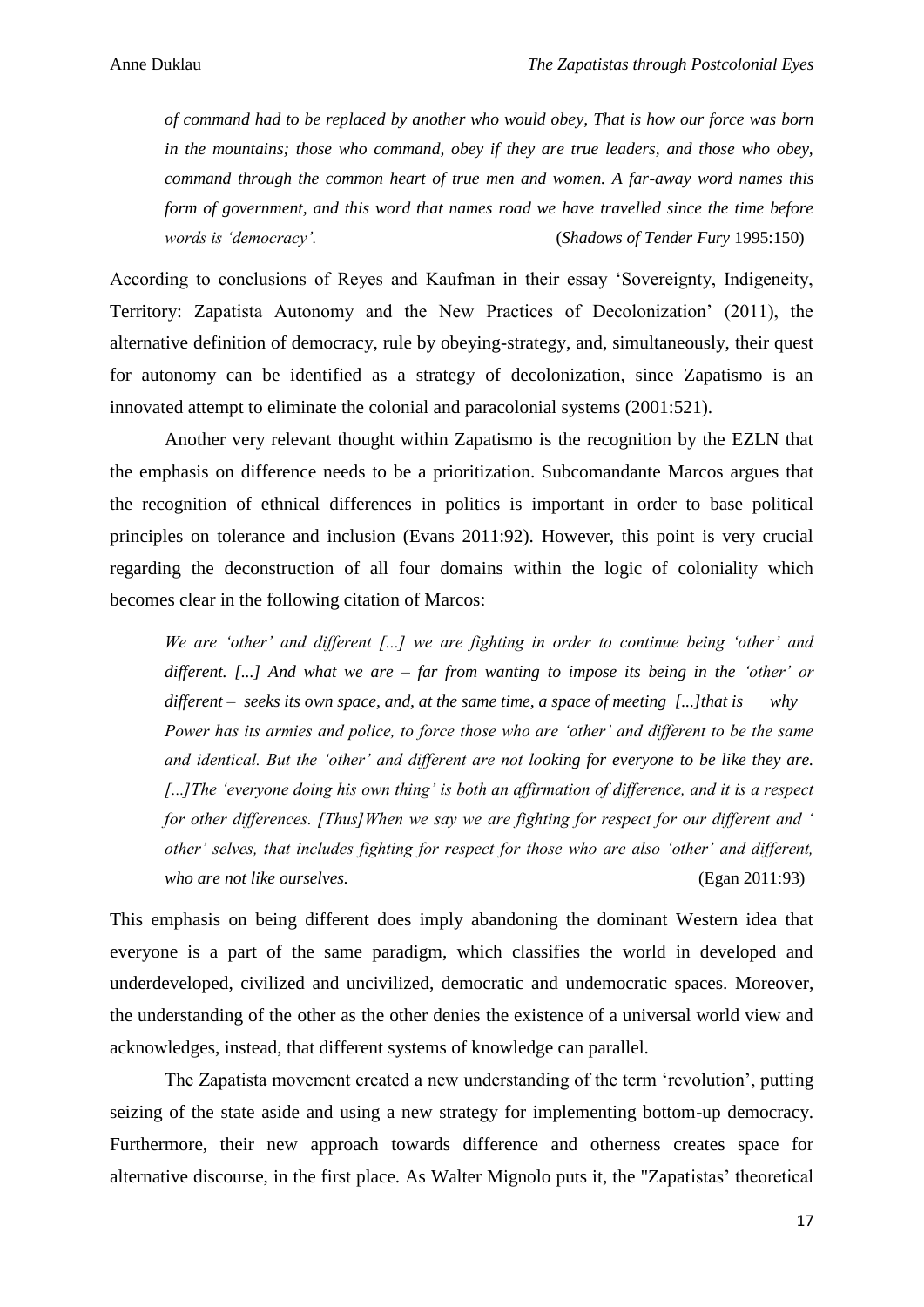*of command had to be replaced by another who would obey, That is how our force was born in the mountains; those who command, obey if they are true leaders, and those who obey, command through the common heart of true men and women. A far-away word names this form of government, and this word that names road we have travelled since the time before words is 'democracy'.* (*Shadows of Tender Fury* 1995:150)

According to conclusions of Reyes and Kaufman in their essay 'Sovereignty, Indigeneity, Territory: Zapatista Autonomy and the New Practices of Decolonization' (2011), the alternative definition of democracy, rule by obeying-strategy, and, simultaneously, their quest for autonomy can be identified as a strategy of decolonization, since Zapatismo is an innovated attempt to eliminate the colonial and paracolonial systems (2001:521).

Another very relevant thought within Zapatismo is the recognition by the EZLN that the emphasis on difference needs to be a prioritization. Subcomandante Marcos argues that the recognition of ethnical differences in politics is important in order to base political principles on tolerance and inclusion (Evans 2011:92). However, this point is very crucial regarding the deconstruction of all four domains within the logic of coloniality which becomes clear in the following citation of Marcos:

*We are 'other' and different [...] we are fighting in order to continue being 'other' and different. [...] And what we are – far from wanting to impose its being in the 'other' or different – seeks its own space, and, at the same time, a space of meeting [...]that is why Power has its armies and police, to force those who are 'other' and different to be the same and identical. But the 'other' and different are not looking for everyone to be like they are. [...]The 'everyone doing his own thing' is both an affirmation of difference, and it is a respect for other differences. [Thus]When we say we are fighting for respect for our different and ' other' selves, that includes fighting for respect for those who are also 'other' and different, who are not like ourselves.* (Egan 2011:93)

This emphasis on being different does imply abandoning the dominant Western idea that everyone is a part of the same paradigm, which classifies the world in developed and underdeveloped, civilized and uncivilized, democratic and undemocratic spaces. Moreover, the understanding of the other as the other denies the existence of a universal world view and acknowledges, instead, that different systems of knowledge can parallel.

The Zapatista movement created a new understanding of the term 'revolution', putting seizing of the state aside and using a new strategy for implementing bottom-up democracy. Furthermore, their new approach towards difference and otherness creates space for alternative discourse, in the first place. As Walter Mignolo puts it, the "Zapatistas' theoretical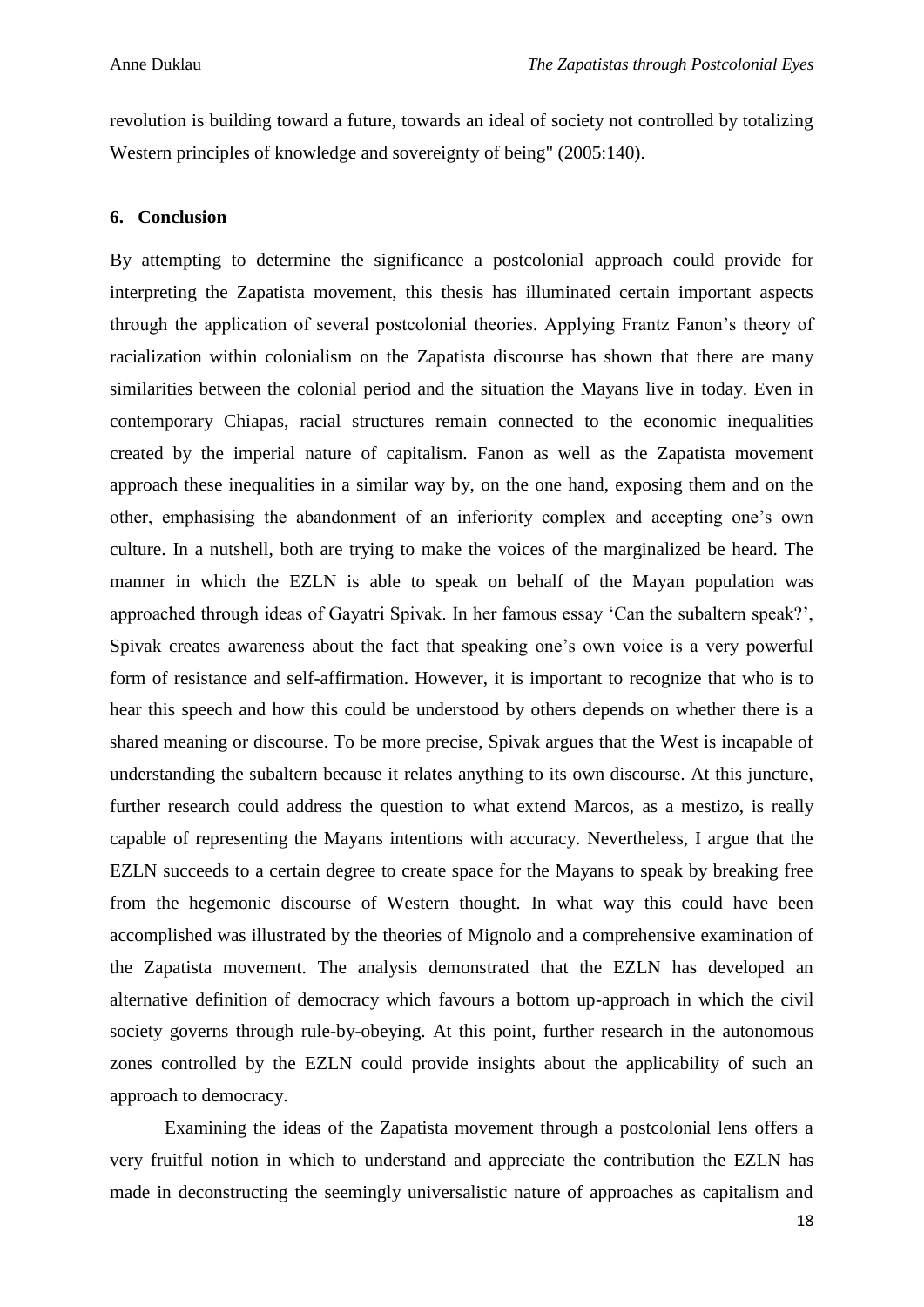revolution is building toward a future, towards an ideal of society not controlled by totalizing Western principles of knowledge and sovereignty of being" (2005:140).

#### **6. Conclusion**

By attempting to determine the significance a postcolonial approach could provide for interpreting the Zapatista movement, this thesis has illuminated certain important aspects through the application of several postcolonial theories. Applying Frantz Fanon's theory of racialization within colonialism on the Zapatista discourse has shown that there are many similarities between the colonial period and the situation the Mayans live in today. Even in contemporary Chiapas, racial structures remain connected to the economic inequalities created by the imperial nature of capitalism. Fanon as well as the Zapatista movement approach these inequalities in a similar way by, on the one hand, exposing them and on the other, emphasising the abandonment of an inferiority complex and accepting one's own culture. In a nutshell, both are trying to make the voices of the marginalized be heard. The manner in which the EZLN is able to speak on behalf of the Mayan population was approached through ideas of Gayatri Spivak. In her famous essay 'Can the subaltern speak?', Spivak creates awareness about the fact that speaking one's own voice is a very powerful form of resistance and self-affirmation. However, it is important to recognize that who is to hear this speech and how this could be understood by others depends on whether there is a shared meaning or discourse. To be more precise, Spivak argues that the West is incapable of understanding the subaltern because it relates anything to its own discourse. At this juncture, further research could address the question to what extend Marcos, as a mestizo, is really capable of representing the Mayans intentions with accuracy. Nevertheless, I argue that the EZLN succeeds to a certain degree to create space for the Mayans to speak by breaking free from the hegemonic discourse of Western thought. In what way this could have been accomplished was illustrated by the theories of Mignolo and a comprehensive examination of the Zapatista movement. The analysis demonstrated that the EZLN has developed an alternative definition of democracy which favours a bottom up-approach in which the civil society governs through rule-by-obeying. At this point, further research in the autonomous zones controlled by the EZLN could provide insights about the applicability of such an approach to democracy.

Examining the ideas of the Zapatista movement through a postcolonial lens offers a very fruitful notion in which to understand and appreciate the contribution the EZLN has made in deconstructing the seemingly universalistic nature of approaches as capitalism and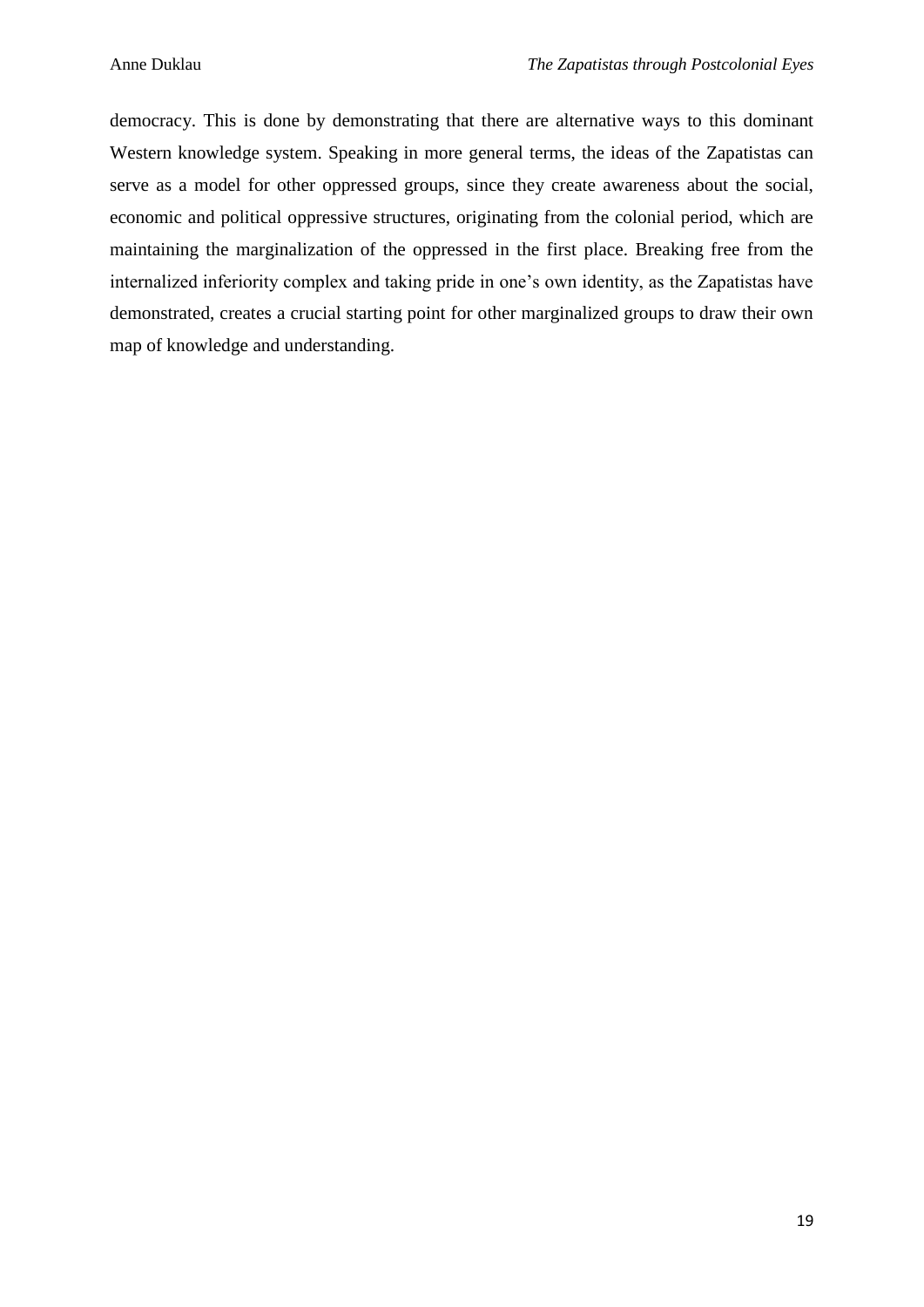democracy. This is done by demonstrating that there are alternative ways to this dominant Western knowledge system. Speaking in more general terms, the ideas of the Zapatistas can serve as a model for other oppressed groups, since they create awareness about the social, economic and political oppressive structures, originating from the colonial period, which are maintaining the marginalization of the oppressed in the first place. Breaking free from the internalized inferiority complex and taking pride in one's own identity, as the Zapatistas have demonstrated, creates a crucial starting point for other marginalized groups to draw their own map of knowledge and understanding.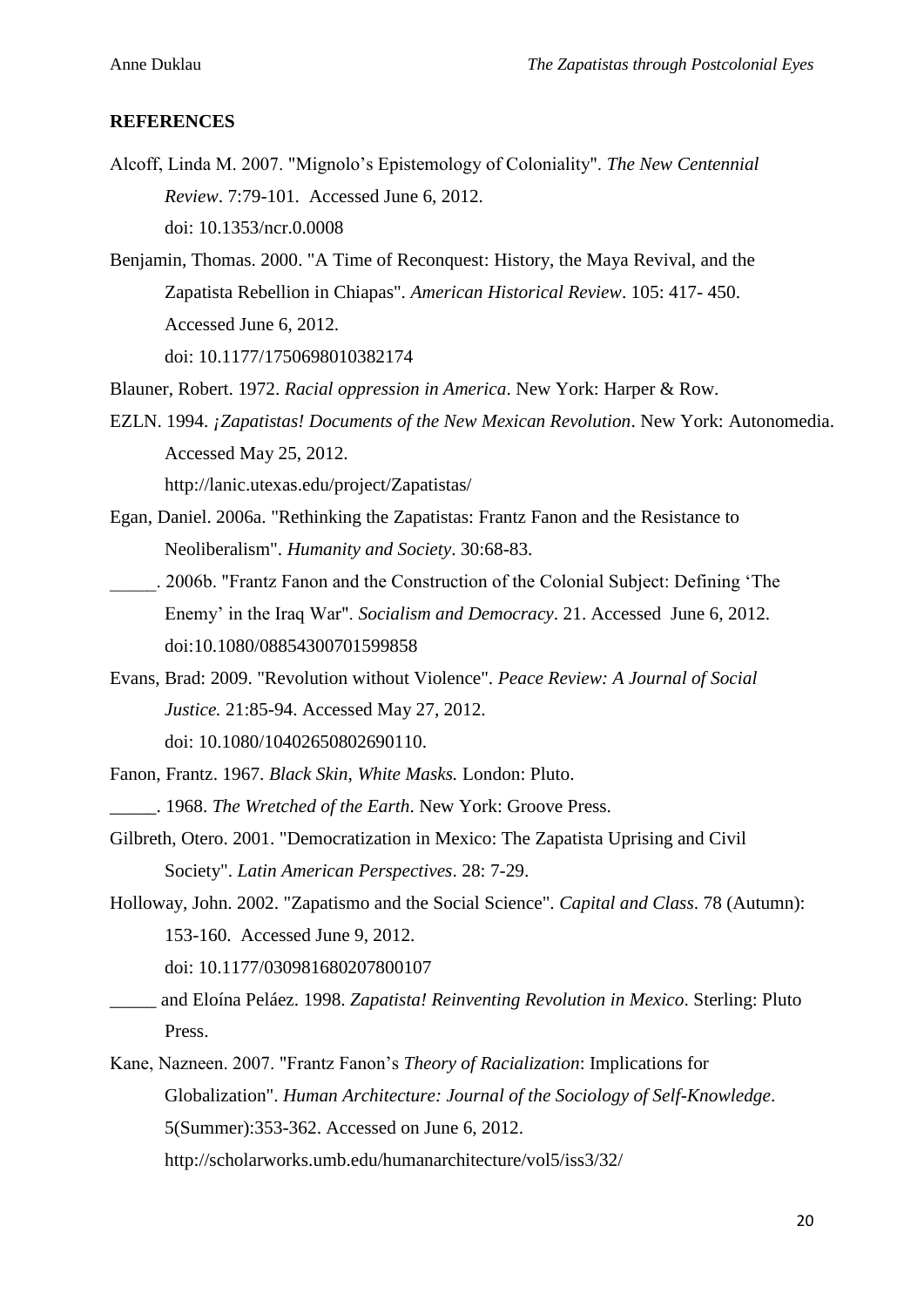#### **REFERENCES**

- Alcoff, Linda M. 2007. "Mignolo's Epistemology of Coloniality". *The New Centennial Review*. 7:79-101. Accessed June 6, 2012. doi: 10.1353/ncr.0.0008
- Benjamin, Thomas. 2000. "A Time of Reconquest: History, the Maya Revival, and the Zapatista Rebellion in Chiapas". *American Historical Review*. 105: 417- 450. Accessed June 6, 2012.

doi: 10.1177/1750698010382174

- Blauner, Robert. 1972. *Racial oppression in America*. New York: Harper & Row.
- EZLN. 1994. *¡Zapatistas! Documents of the New Mexican Revolution*. New York: Autonomedia. Accessed May 25, 2012.

http://lanic.utexas.edu/project/Zapatistas/

- Egan, Daniel. 2006a. "Rethinking the Zapatistas: Frantz Fanon and the Resistance to Neoliberalism". *Humanity and Society*. 30:68-83.
- \_\_\_\_\_. 2006b. "Frantz Fanon and the Construction of the Colonial Subject: Defining 'The Enemy' in the Iraq War". *Socialism and Democracy*. 21. Accessed June 6, 2012. doi:10.1080/08854300701599858
- Evans, Brad: 2009. "Revolution without Violence". *Peace Review: A Journal of Social Justice.* 21:85-94. Accessed May 27, 2012.

doi: 10.1080/10402650802690110.

- Fanon, Frantz. 1967. *Black Skin, White Masks.* London: Pluto.
- \_\_\_\_\_. 1968. *The Wretched of the Earth*. New York: Groove Press.
- Gilbreth, Otero. 2001. "Democratization in Mexico: The Zapatista Uprising and Civil Society". *Latin American Perspectives*. 28: 7-29.
- Holloway, John. 2002. "Zapatismo and the Social Science". *Capital and Class*. 78 (Autumn): 153-160. Accessed June 9, 2012.

doi: 10.1177/030981680207800107

- \_\_\_\_\_ and Eloína Peláez. 1998. *Zapatista! Reinventing Revolution in Mexico*. Sterling: Pluto Press.
- Kane, Nazneen. 2007. "Frantz Fanon's *Theory of Racialization*: Implications for Globalization". *Human Architecture: Journal of the Sociology of Self-Knowledge*. 5(Summer):353-362. Accessed on June 6, 2012.

http://scholarworks.umb.edu/humanarchitecture/vol5/iss3/32/